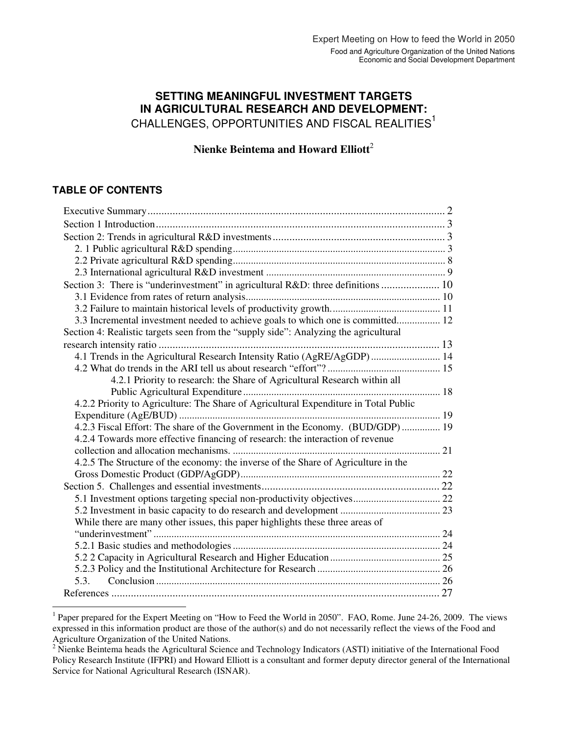# **SETTING MEANINGFUL INVESTMENT TARGETS IN AGRICULTURAL RESEARCH AND DEVELOPMENT:**  CHALLENGES, OPPORTUNITIES AND FISCAL REALITIES<sup>1</sup>

**Nienke Beintema and Howard Elliott**<sup>2</sup>

## **TABLE OF CONTENTS**

| Section 3: There is "underinvestment" in agricultural R&D: three definitions  10     |  |
|--------------------------------------------------------------------------------------|--|
|                                                                                      |  |
|                                                                                      |  |
| 3.3 Incremental investment needed to achieve goals to which one is committed 12      |  |
| Section 4: Realistic targets seen from the "supply side": Analyzing the agricultural |  |
|                                                                                      |  |
| 4.1 Trends in the Agricultural Research Intensity Ratio (AgRE/AgGDP) 14              |  |
|                                                                                      |  |
| 4.2.1 Priority to research: the Share of Agricultural Research within all            |  |
|                                                                                      |  |
| 4.2.2 Priority to Agriculture: The Share of Agricultural Expenditure in Total Public |  |
|                                                                                      |  |
| 4.2.3 Fiscal Effort: The share of the Government in the Economy. (BUD/GDP) 19        |  |
| 4.2.4 Towards more effective financing of research: the interaction of revenue       |  |
|                                                                                      |  |
| 4.2.5 The Structure of the economy: the inverse of the Share of Agriculture in the   |  |
|                                                                                      |  |
|                                                                                      |  |
|                                                                                      |  |
|                                                                                      |  |
| While there are many other issues, this paper highlights these three areas of        |  |
|                                                                                      |  |
|                                                                                      |  |
|                                                                                      |  |
|                                                                                      |  |
|                                                                                      |  |
|                                                                                      |  |

<sup>&</sup>lt;sup>1</sup> Paper prepared for the Expert Meeting on "How to Feed the World in 2050". FAO, Rome. June 24-26, 2009. The views expressed in this information product are those of the author(s) and do not necessarily reflect the views of the Food and Agriculture Organization of the United Nations.

<sup>&</sup>lt;sup>2</sup> Nienke Beintema heads the Agricultural Science and Technology Indicators (ASTI) initiative of the International Food Policy Research Institute (IFPRI) and Howard Elliott is a consultant and former deputy director general of the International Service for National Agricultural Research (ISNAR).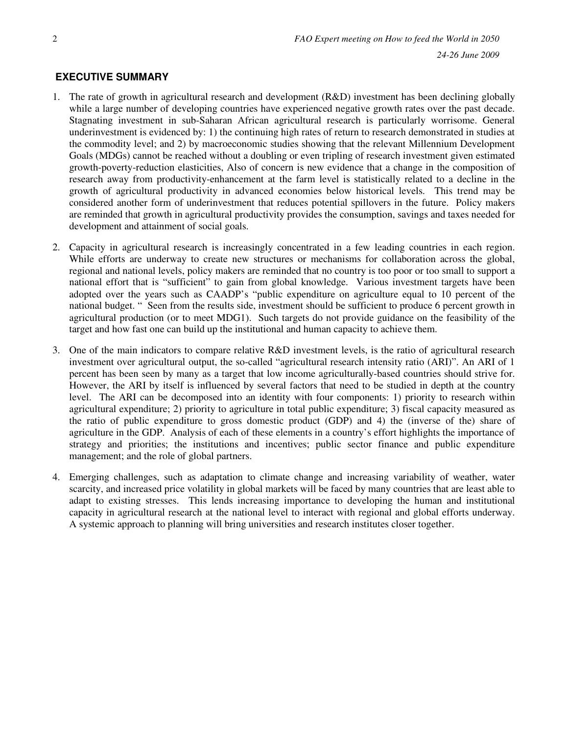## **EXECUTIVE SUMMARY**

- 1. The rate of growth in agricultural research and development (R&D) investment has been declining globally while a large number of developing countries have experienced negative growth rates over the past decade. Stagnating investment in sub-Saharan African agricultural research is particularly worrisome. General underinvestment is evidenced by: 1) the continuing high rates of return to research demonstrated in studies at the commodity level; and 2) by macroeconomic studies showing that the relevant Millennium Development Goals (MDGs) cannot be reached without a doubling or even tripling of research investment given estimated growth-poverty-reduction elasticities, Also of concern is new evidence that a change in the composition of research away from productivity-enhancement at the farm level is statistically related to a decline in the growth of agricultural productivity in advanced economies below historical levels. This trend may be considered another form of underinvestment that reduces potential spillovers in the future. Policy makers are reminded that growth in agricultural productivity provides the consumption, savings and taxes needed for development and attainment of social goals.
- 2. Capacity in agricultural research is increasingly concentrated in a few leading countries in each region. While efforts are underway to create new structures or mechanisms for collaboration across the global, regional and national levels, policy makers are reminded that no country is too poor or too small to support a national effort that is "sufficient" to gain from global knowledge. Various investment targets have been adopted over the years such as CAADP's "public expenditure on agriculture equal to 10 percent of the national budget. " Seen from the results side, investment should be sufficient to produce 6 percent growth in agricultural production (or to meet MDG1). Such targets do not provide guidance on the feasibility of the target and how fast one can build up the institutional and human capacity to achieve them.
- 3. One of the main indicators to compare relative R&D investment levels, is the ratio of agricultural research investment over agricultural output, the so-called "agricultural research intensity ratio (ARI)". An ARI of 1 percent has been seen by many as a target that low income agriculturally-based countries should strive for. However, the ARI by itself is influenced by several factors that need to be studied in depth at the country level. The ARI can be decomposed into an identity with four components: 1) priority to research within agricultural expenditure; 2) priority to agriculture in total public expenditure; 3) fiscal capacity measured as the ratio of public expenditure to gross domestic product (GDP) and 4) the (inverse of the) share of agriculture in the GDP. Analysis of each of these elements in a country's effort highlights the importance of strategy and priorities; the institutions and incentives; public sector finance and public expenditure management; and the role of global partners.
- 4. Emerging challenges, such as adaptation to climate change and increasing variability of weather, water scarcity, and increased price volatility in global markets will be faced by many countries that are least able to adapt to existing stresses. This lends increasing importance to developing the human and institutional capacity in agricultural research at the national level to interact with regional and global efforts underway. A systemic approach to planning will bring universities and research institutes closer together.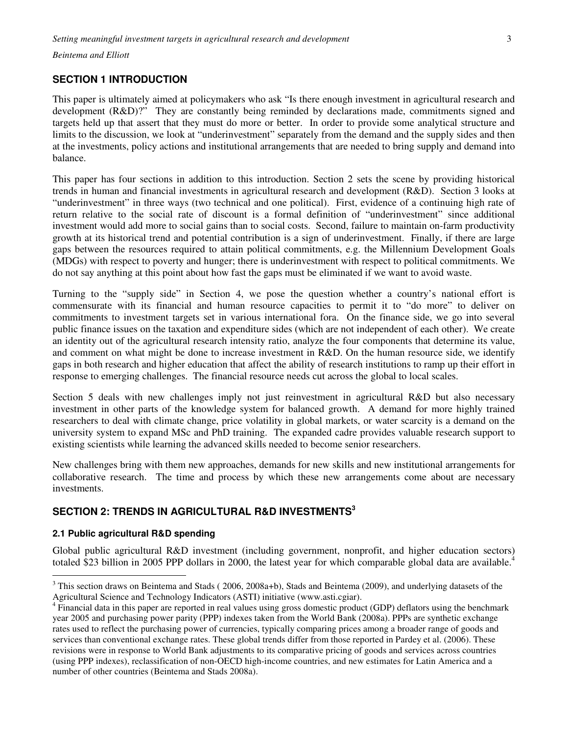# **SECTION 1 INTRODUCTION**

This paper is ultimately aimed at policymakers who ask "Is there enough investment in agricultural research and development (R&D)?" They are constantly being reminded by declarations made, commitments signed and targets held up that assert that they must do more or better. In order to provide some analytical structure and limits to the discussion, we look at "underinvestment" separately from the demand and the supply sides and then at the investments, policy actions and institutional arrangements that are needed to bring supply and demand into balance.

This paper has four sections in addition to this introduction. Section 2 sets the scene by providing historical trends in human and financial investments in agricultural research and development (R&D). Section 3 looks at "underinvestment" in three ways (two technical and one political). First, evidence of a continuing high rate of return relative to the social rate of discount is a formal definition of "underinvestment" since additional investment would add more to social gains than to social costs. Second, failure to maintain on-farm productivity growth at its historical trend and potential contribution is a sign of underinvestment. Finally, if there are large gaps between the resources required to attain political commitments, e.g. the Millennium Development Goals (MDGs) with respect to poverty and hunger; there is underinvestment with respect to political commitments. We do not say anything at this point about how fast the gaps must be eliminated if we want to avoid waste.

Turning to the "supply side" in Section 4, we pose the question whether a country's national effort is commensurate with its financial and human resource capacities to permit it to "do more" to deliver on commitments to investment targets set in various international fora. On the finance side, we go into several public finance issues on the taxation and expenditure sides (which are not independent of each other). We create an identity out of the agricultural research intensity ratio, analyze the four components that determine its value, and comment on what might be done to increase investment in R&D. On the human resource side, we identify gaps in both research and higher education that affect the ability of research institutions to ramp up their effort in response to emerging challenges. The financial resource needs cut across the global to local scales.

Section 5 deals with new challenges imply not just reinvestment in agricultural R&D but also necessary investment in other parts of the knowledge system for balanced growth. A demand for more highly trained researchers to deal with climate change, price volatility in global markets, or water scarcity is a demand on the university system to expand MSc and PhD training. The expanded cadre provides valuable research support to existing scientists while learning the advanced skills needed to become senior researchers.

New challenges bring with them new approaches, demands for new skills and new institutional arrangements for collaborative research. The time and process by which these new arrangements come about are necessary investments.

## **SECTION 2: TRENDS IN AGRICULTURAL R&D INVESTMENTS<sup>3</sup>**

### **2.1 Public agricultural R&D spending**

 $\overline{a}$ 

Global public agricultural R&D investment (including government, nonprofit, and higher education sectors) totaled \$23 billion in 2005 PPP dollars in 2000, the latest year for which comparable global data are available.<sup>4</sup>

 $3$  This section draws on Beintema and Stads (2006, 2008a+b), Stads and Beintema (2009), and underlying datasets of the Agricultural Science and Technology Indicators (ASTI) initiative (www.asti.cgiar).

 $4 \overline{F}$ inancial data in this paper are reported in real values using gross domestic product (GDP) deflators using the benchmark year 2005 and purchasing power parity (PPP) indexes taken from the World Bank (2008a). PPPs are synthetic exchange rates used to reflect the purchasing power of currencies, typically comparing prices among a broader range of goods and services than conventional exchange rates. These global trends differ from those reported in Pardey et al. (2006). These revisions were in response to World Bank adjustments to its comparative pricing of goods and services across countries (using PPP indexes), reclassification of non-OECD high-income countries, and new estimates for Latin America and a number of other countries (Beintema and Stads 2008a).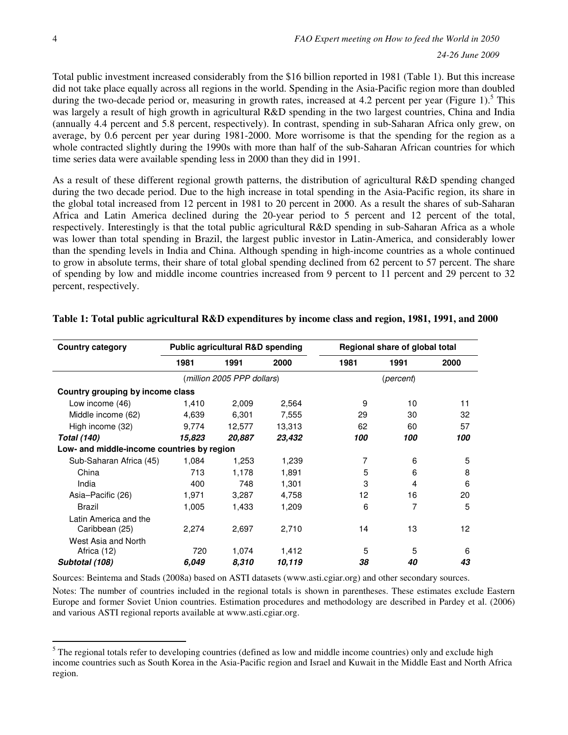$\overline{a}$ 

Total public investment increased considerably from the \$16 billion reported in 1981 (Table 1). But this increase did not take place equally across all regions in the world. Spending in the Asia-Pacific region more than doubled during the two-decade period or, measuring in growth rates, increased at 4.2 percent per year (Figure 1).<sup>5</sup> This was largely a result of high growth in agricultural R&D spending in the two largest countries, China and India (annually 4.4 percent and 5.8 percent, respectively). In contrast, spending in sub-Saharan Africa only grew, on average, by 0.6 percent per year during 1981-2000. More worrisome is that the spending for the region as a whole contracted slightly during the 1990s with more than half of the sub-Saharan African countries for which time series data were available spending less in 2000 than they did in 1991.

As a result of these different regional growth patterns, the distribution of agricultural R&D spending changed during the two decade period. Due to the high increase in total spending in the Asia-Pacific region, its share in the global total increased from 12 percent in 1981 to 20 percent in 2000. As a result the shares of sub-Saharan Africa and Latin America declined during the 20-year period to 5 percent and 12 percent of the total, respectively. Interestingly is that the total public agricultural R&D spending in sub-Saharan Africa as a whole was lower than total spending in Brazil, the largest public investor in Latin-America, and considerably lower than the spending levels in India and China. Although spending in high-income countries as a whole continued to grow in absolute terms, their share of total global spending declined from 62 percent to 57 percent. The share of spending by low and middle income countries increased from 9 percent to 11 percent and 29 percent to 32 percent, respectively.

| <b>Country category</b>                    | <b>Public agricultural R&amp;D spending</b> |        | Regional share of global total |      |           |      |  |
|--------------------------------------------|---------------------------------------------|--------|--------------------------------|------|-----------|------|--|
|                                            | 1981                                        | 1991   | 2000                           | 1981 | 1991      | 2000 |  |
|                                            | (million 2005 PPP dollars)                  |        |                                |      | (percent) |      |  |
| Country grouping by income class           |                                             |        |                                |      |           |      |  |
| Low income (46)                            | 1,410                                       | 2,009  | 2,564                          | 9    | 10        | 11   |  |
| Middle income (62)                         | 4,639                                       | 6,301  | 7,555                          | 29   | 30        | 32   |  |
| High income (32)                           | 9,774                                       | 12,577 | 13,313                         | 62   | 60        | 57   |  |
| <b>Total (140)</b>                         | 15,823                                      | 20,887 | 23,432                         | 100  | 100       | 100  |  |
| Low- and middle-income countries by region |                                             |        |                                |      |           |      |  |
| Sub-Saharan Africa (45)                    | 1,084                                       | 1,253  | 1,239                          | 7    | 6         | 5    |  |
| China                                      | 713                                         | 1,178  | 1,891                          | 5    | 6         | 8    |  |
| India                                      | 400                                         | 748    | 1,301                          | 3    | 4         | 6    |  |
| Asia-Pacific (26)                          | 1,971                                       | 3,287  | 4,758                          | 12   | 16        | 20   |  |
| <b>Brazil</b>                              | 1,005                                       | 1,433  | 1,209                          | 6    | 7         | 5    |  |
| Latin America and the<br>Caribbean (25)    | 2,274                                       | 2,697  | 2,710                          | 14   | 13        | 12   |  |
| West Asia and North<br>Africa (12)         | 720                                         | 1,074  | 1,412                          | 5    | 5         | 6    |  |
| Subtotal (108)                             | 6.049                                       | 8,310  | 10,119                         | 38   | 40        | 43   |  |

#### **Table 1: Total public agricultural R&D expenditures by income class and region, 1981, 1991, and 2000**

Sources: Beintema and Stads (2008a) based on ASTI datasets (www.asti.cgiar.org) and other secondary sources.

Notes: The number of countries included in the regional totals is shown in parentheses. These estimates exclude Eastern Europe and former Soviet Union countries. Estimation procedures and methodology are described in Pardey et al. (2006) and various ASTI regional reports available at www.asti.cgiar.org.

 $<sup>5</sup>$  The regional totals refer to developing countries (defined as low and middle income countries) only and exclude high</sup> income countries such as South Korea in the Asia-Pacific region and Israel and Kuwait in the Middle East and North Africa region.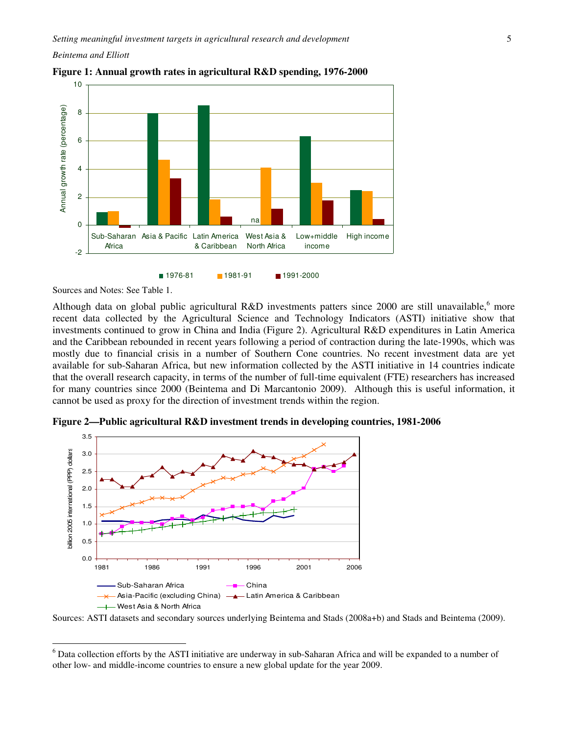

**Figure 1: Annual growth rates in agricultural R&D spending, 1976-2000** 

Sources and Notes: See Table 1.

 $\overline{a}$ 

Although data on global public agricultural R&D investments patters since 2000 are still unavailable, <sup>6</sup> more recent data collected by the Agricultural Science and Technology Indicators (ASTI) initiative show that investments continued to grow in China and India (Figure 2). Agricultural R&D expenditures in Latin America and the Caribbean rebounded in recent years following a period of contraction during the late-1990s, which was mostly due to financial crisis in a number of Southern Cone countries. No recent investment data are yet available for sub-Saharan Africa, but new information collected by the ASTI initiative in 14 countries indicate that the overall research capacity, in terms of the number of full-time equivalent (FTE) researchers has increased for many countries since 2000 (Beintema and Di Marcantonio 2009). Although this is useful information, it cannot be used as proxy for the direction of investment trends within the region.



**Figure 2—Public agricultural R&D investment trends in developing countries, 1981-2006** 

Sources: ASTI datasets and secondary sources underlying Beintema and Stads (2008a+b) and Stads and Beintema (2009).

<sup>&</sup>lt;sup>6</sup> Data collection efforts by the ASTI initiative are underway in sub-Saharan Africa and will be expanded to a number of other low- and middle-income countries to ensure a new global update for the year 2009.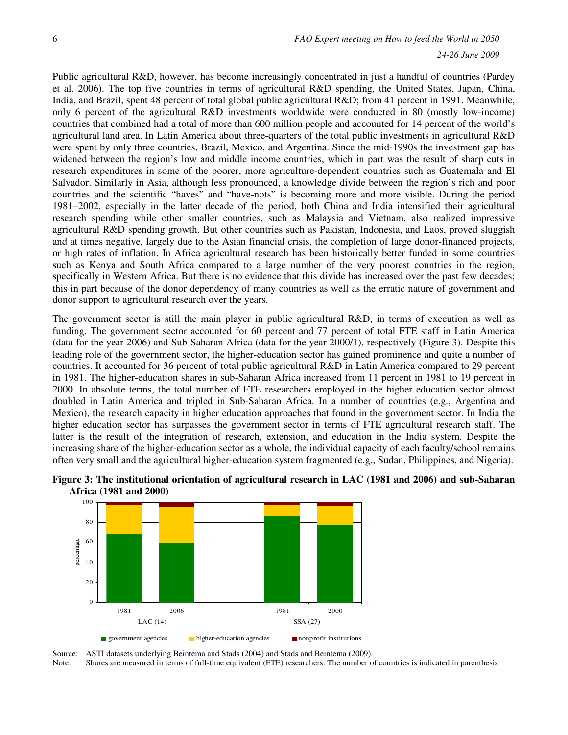Public agricultural R&D, however, has become increasingly concentrated in just a handful of countries (Pardey et al. 2006). The top five countries in terms of agricultural R&D spending, the United States, Japan, China, India, and Brazil, spent 48 percent of total global public agricultural R&D; from 41 percent in 1991. Meanwhile, only 6 percent of the agricultural R&D investments worldwide were conducted in 80 (mostly low-income) countries that combined had a total of more than 600 million people and accounted for 14 percent of the world's agricultural land area. In Latin America about three-quarters of the total public investments in agricultural R&D were spent by only three countries, Brazil, Mexico, and Argentina. Since the mid-1990s the investment gap has widened between the region's low and middle income countries, which in part was the result of sharp cuts in research expenditures in some of the poorer, more agriculture-dependent countries such as Guatemala and El Salvador. Similarly in Asia, although less pronounced, a knowledge divide between the region's rich and poor countries and the scientific "haves" and "have-nots" is becoming more and more visible. During the period 1981–2002, especially in the latter decade of the period, both China and India intensified their agricultural research spending while other smaller countries, such as Malaysia and Vietnam, also realized impressive agricultural R&D spending growth. But other countries such as Pakistan, Indonesia, and Laos, proved sluggish and at times negative, largely due to the Asian financial crisis, the completion of large donor-financed projects, or high rates of inflation. In Africa agricultural research has been historically better funded in some countries such as Kenya and South Africa compared to a large number of the very poorest countries in the region, specifically in Western Africa. But there is no evidence that this divide has increased over the past few decades; this in part because of the donor dependency of many countries as well as the erratic nature of government and donor support to agricultural research over the years.

The government sector is still the main player in public agricultural R&D, in terms of execution as well as funding. The government sector accounted for 60 percent and 77 percent of total FTE staff in Latin America (data for the year 2006) and Sub-Saharan Africa (data for the year 2000/1), respectively (Figure 3). Despite this leading role of the government sector, the higher-education sector has gained prominence and quite a number of countries. It accounted for 36 percent of total public agricultural R&D in Latin America compared to 29 percent in 1981. The higher-education shares in sub-Saharan Africa increased from 11 percent in 1981 to 19 percent in 2000. In absolute terms, the total number of FTE researchers employed in the higher education sector almost doubled in Latin America and tripled in Sub-Saharan Africa. In a number of countries (e.g., Argentina and Mexico), the research capacity in higher education approaches that found in the government sector. In India the higher education sector has surpasses the government sector in terms of FTE agricultural research staff. The latter is the result of the integration of research, extension, and education in the India system. Despite the increasing share of the higher-education sector as a whole, the individual capacity of each faculty/school remains often very small and the agricultural higher-education system fragmented (e.g., Sudan, Philippines, and Nigeria).





Source: ASTI datasets underlying Beintema and Stads (2004) and Stads and Beintema (2009).

Note: Shares are measured in terms of full-time equivalent (FTE) researchers. The number of countries is indicated in parenthesis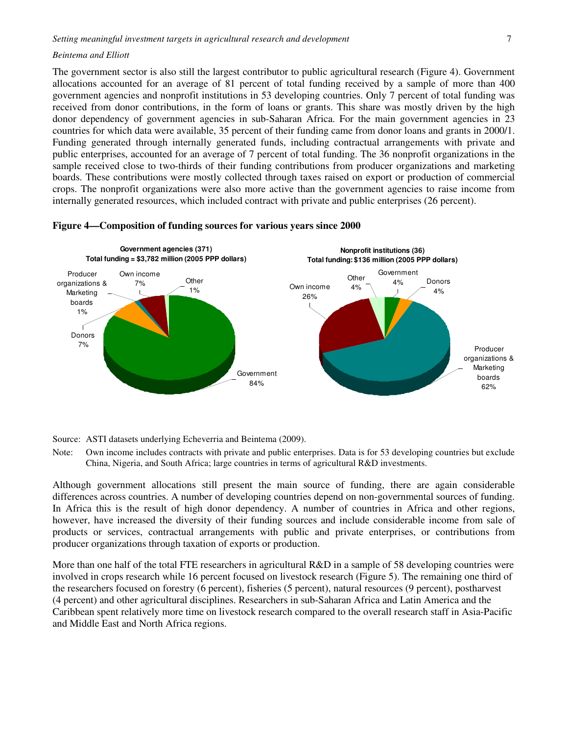The government sector is also still the largest contributor to public agricultural research (Figure 4). Government allocations accounted for an average of 81 percent of total funding received by a sample of more than 400 government agencies and nonprofit institutions in 53 developing countries. Only 7 percent of total funding was received from donor contributions, in the form of loans or grants. This share was mostly driven by the high donor dependency of government agencies in sub-Saharan Africa. For the main government agencies in 23 countries for which data were available, 35 percent of their funding came from donor loans and grants in 2000/1. Funding generated through internally generated funds, including contractual arrangements with private and public enterprises, accounted for an average of 7 percent of total funding. The 36 nonprofit organizations in the sample received close to two-thirds of their funding contributions from producer organizations and marketing boards. These contributions were mostly collected through taxes raised on export or production of commercial crops. The nonprofit organizations were also more active than the government agencies to raise income from internally generated resources, which included contract with private and public enterprises (26 percent).



#### **Figure 4—Composition of funding sources for various years since 2000**

Source: ASTI datasets underlying Echeverria and Beintema (2009).

Note: Own income includes contracts with private and public enterprises. Data is for 53 developing countries but exclude China, Nigeria, and South Africa; large countries in terms of agricultural R&D investments.

Although government allocations still present the main source of funding, there are again considerable differences across countries. A number of developing countries depend on non-governmental sources of funding. In Africa this is the result of high donor dependency. A number of countries in Africa and other regions, however, have increased the diversity of their funding sources and include considerable income from sale of products or services, contractual arrangements with public and private enterprises, or contributions from producer organizations through taxation of exports or production.

More than one half of the total FTE researchers in agricultural R&D in a sample of 58 developing countries were involved in crops research while 16 percent focused on livestock research (Figure 5). The remaining one third of the researchers focused on forestry (6 percent), fisheries (5 percent), natural resources (9 percent), postharvest (4 percent) and other agricultural disciplines. Researchers in sub-Saharan Africa and Latin America and the Caribbean spent relatively more time on livestock research compared to the overall research staff in Asia-Pacific and Middle East and North Africa regions.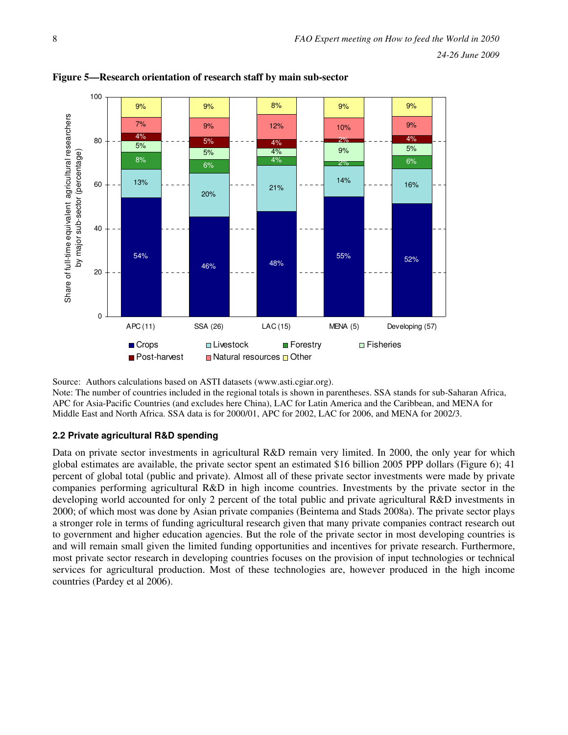



Source: Authors calculations based on ASTI datasets (www.asti.cgiar.org).

Note: The number of countries included in the regional totals is shown in parentheses. SSA stands for sub-Saharan Africa, APC for Asia-Pacific Countries (and excludes here China), LAC for Latin America and the Caribbean, and MENA for Middle East and North Africa. SSA data is for 2000/01, APC for 2002, LAC for 2006, and MENA for 2002/3.

## **2.2 Private agricultural R&D spending**

Data on private sector investments in agricultural R&D remain very limited. In 2000, the only year for which global estimates are available, the private sector spent an estimated \$16 billion 2005 PPP dollars (Figure 6); 41 percent of global total (public and private). Almost all of these private sector investments were made by private companies performing agricultural R&D in high income countries. Investments by the private sector in the developing world accounted for only 2 percent of the total public and private agricultural R&D investments in 2000; of which most was done by Asian private companies (Beintema and Stads 2008a). The private sector plays a stronger role in terms of funding agricultural research given that many private companies contract research out to government and higher education agencies. But the role of the private sector in most developing countries is and will remain small given the limited funding opportunities and incentives for private research. Furthermore, most private sector research in developing countries focuses on the provision of input technologies or technical services for agricultural production. Most of these technologies are, however produced in the high income countries (Pardey et al 2006).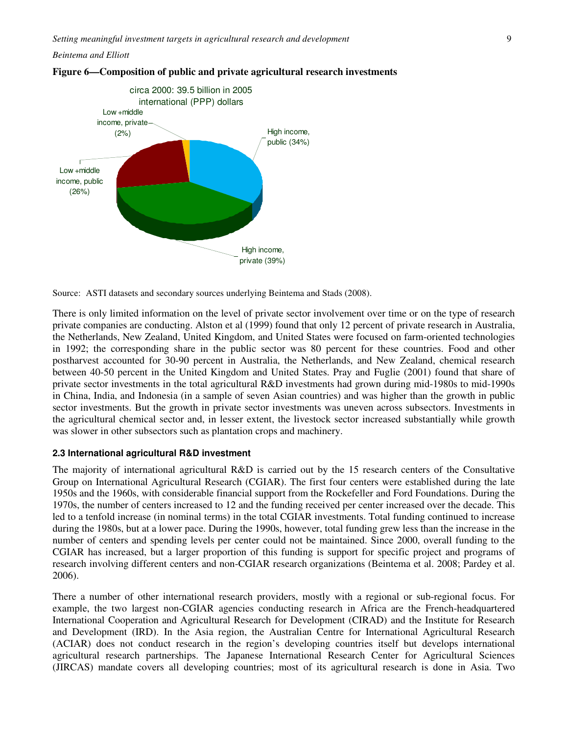



Source: ASTI datasets and secondary sources underlying Beintema and Stads (2008).

There is only limited information on the level of private sector involvement over time or on the type of research private companies are conducting. Alston et al (1999) found that only 12 percent of private research in Australia, the Netherlands, New Zealand, United Kingdom, and United States were focused on farm-oriented technologies in 1992; the corresponding share in the public sector was 80 percent for these countries. Food and other postharvest accounted for 30-90 percent in Australia, the Netherlands, and New Zealand, chemical research between 40-50 percent in the United Kingdom and United States. Pray and Fuglie (2001) found that share of private sector investments in the total agricultural R&D investments had grown during mid-1980s to mid-1990s in China, India, and Indonesia (in a sample of seven Asian countries) and was higher than the growth in public sector investments. But the growth in private sector investments was uneven across subsectors. Investments in the agricultural chemical sector and, in lesser extent, the livestock sector increased substantially while growth was slower in other subsectors such as plantation crops and machinery.

#### **2.3 International agricultural R&D investment**

The majority of international agricultural R&D is carried out by the 15 research centers of the Consultative Group on International Agricultural Research (CGIAR). The first four centers were established during the late 1950s and the 1960s, with considerable financial support from the Rockefeller and Ford Foundations. During the 1970s, the number of centers increased to 12 and the funding received per center increased over the decade. This led to a tenfold increase (in nominal terms) in the total CGIAR investments. Total funding continued to increase during the 1980s, but at a lower pace. During the 1990s, however, total funding grew less than the increase in the number of centers and spending levels per center could not be maintained. Since 2000, overall funding to the CGIAR has increased, but a larger proportion of this funding is support for specific project and programs of research involving different centers and non-CGIAR research organizations (Beintema et al. 2008; Pardey et al. 2006).

There a number of other international research providers, mostly with a regional or sub-regional focus. For example, the two largest non-CGIAR agencies conducting research in Africa are the French-headquartered International Cooperation and Agricultural Research for Development (CIRAD) and the Institute for Research and Development (IRD). In the Asia region, the Australian Centre for International Agricultural Research (ACIAR) does not conduct research in the region's developing countries itself but develops international agricultural research partnerships. The Japanese International Research Center for Agricultural Sciences (JIRCAS) mandate covers all developing countries; most of its agricultural research is done in Asia. Two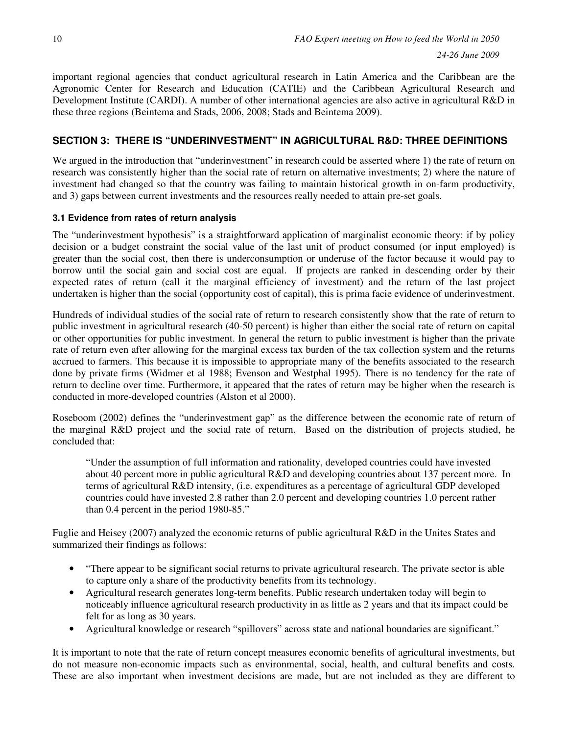important regional agencies that conduct agricultural research in Latin America and the Caribbean are the Agronomic Center for Research and Education (CATIE) and the Caribbean Agricultural Research and Development Institute (CARDI). A number of other international agencies are also active in agricultural R&D in these three regions (Beintema and Stads, 2006, 2008; Stads and Beintema 2009).

# **SECTION 3: THERE IS "UNDERINVESTMENT" IN AGRICULTURAL R&D: THREE DEFINITIONS**

We argued in the introduction that "underinvestment" in research could be asserted where 1) the rate of return on research was consistently higher than the social rate of return on alternative investments; 2) where the nature of investment had changed so that the country was failing to maintain historical growth in on-farm productivity, and 3) gaps between current investments and the resources really needed to attain pre-set goals.

## **3.1 Evidence from rates of return analysis**

The "underinvestment hypothesis" is a straightforward application of marginalist economic theory: if by policy decision or a budget constraint the social value of the last unit of product consumed (or input employed) is greater than the social cost, then there is underconsumption or underuse of the factor because it would pay to borrow until the social gain and social cost are equal. If projects are ranked in descending order by their expected rates of return (call it the marginal efficiency of investment) and the return of the last project undertaken is higher than the social (opportunity cost of capital), this is prima facie evidence of underinvestment.

Hundreds of individual studies of the social rate of return to research consistently show that the rate of return to public investment in agricultural research (40-50 percent) is higher than either the social rate of return on capital or other opportunities for public investment. In general the return to public investment is higher than the private rate of return even after allowing for the marginal excess tax burden of the tax collection system and the returns accrued to farmers. This because it is impossible to appropriate many of the benefits associated to the research done by private firms (Widmer et al 1988; Evenson and Westphal 1995). There is no tendency for the rate of return to decline over time. Furthermore, it appeared that the rates of return may be higher when the research is conducted in more-developed countries (Alston et al 2000).

Roseboom (2002) defines the "underinvestment gap" as the difference between the economic rate of return of the marginal R&D project and the social rate of return. Based on the distribution of projects studied, he concluded that:

"Under the assumption of full information and rationality, developed countries could have invested about 40 percent more in public agricultural R&D and developing countries about 137 percent more. In terms of agricultural R&D intensity, (i.e. expenditures as a percentage of agricultural GDP developed countries could have invested 2.8 rather than 2.0 percent and developing countries 1.0 percent rather than 0.4 percent in the period 1980-85."

Fuglie and Heisey (2007) analyzed the economic returns of public agricultural R&D in the Unites States and summarized their findings as follows:

- "There appear to be significant social returns to private agricultural research. The private sector is able to capture only a share of the productivity benefits from its technology.
- Agricultural research generates long-term benefits. Public research undertaken today will begin to noticeably influence agricultural research productivity in as little as 2 years and that its impact could be felt for as long as 30 years.
- Agricultural knowledge or research "spillovers" across state and national boundaries are significant."

It is important to note that the rate of return concept measures economic benefits of agricultural investments, but do not measure non-economic impacts such as environmental, social, health, and cultural benefits and costs. These are also important when investment decisions are made, but are not included as they are different to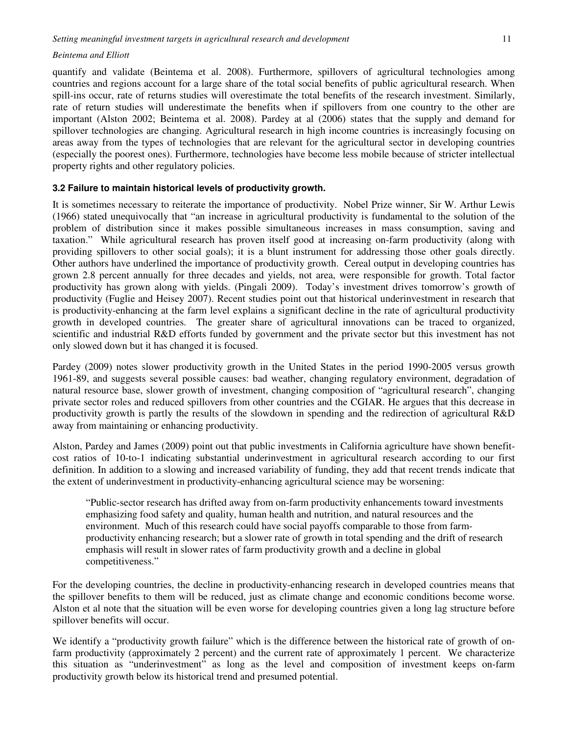quantify and validate (Beintema et al. 2008). Furthermore, spillovers of agricultural technologies among countries and regions account for a large share of the total social benefits of public agricultural research. When spill-ins occur, rate of returns studies will overestimate the total benefits of the research investment. Similarly, rate of return studies will underestimate the benefits when if spillovers from one country to the other are important (Alston 2002; Beintema et al. 2008). Pardey at al (2006) states that the supply and demand for spillover technologies are changing. Agricultural research in high income countries is increasingly focusing on areas away from the types of technologies that are relevant for the agricultural sector in developing countries (especially the poorest ones). Furthermore, technologies have become less mobile because of stricter intellectual property rights and other regulatory policies.

#### **3.2 Failure to maintain historical levels of productivity growth.**

It is sometimes necessary to reiterate the importance of productivity. Nobel Prize winner, Sir W. Arthur Lewis (1966) stated unequivocally that "an increase in agricultural productivity is fundamental to the solution of the problem of distribution since it makes possible simultaneous increases in mass consumption, saving and taxation." While agricultural research has proven itself good at increasing on-farm productivity (along with providing spillovers to other social goals); it is a blunt instrument for addressing those other goals directly. Other authors have underlined the importance of productivity growth. Cereal output in developing countries has grown 2.8 percent annually for three decades and yields, not area, were responsible for growth. Total factor productivity has grown along with yields. (Pingali 2009). Today's investment drives tomorrow's growth of productivity (Fuglie and Heisey 2007). Recent studies point out that historical underinvestment in research that is productivity-enhancing at the farm level explains a significant decline in the rate of agricultural productivity growth in developed countries. The greater share of agricultural innovations can be traced to organized, scientific and industrial R&D efforts funded by government and the private sector but this investment has not only slowed down but it has changed it is focused.

Pardey (2009) notes slower productivity growth in the United States in the period 1990-2005 versus growth 1961-89, and suggests several possible causes: bad weather, changing regulatory environment, degradation of natural resource base, slower growth of investment, changing composition of "agricultural research", changing private sector roles and reduced spillovers from other countries and the CGIAR. He argues that this decrease in productivity growth is partly the results of the slowdown in spending and the redirection of agricultural R&D away from maintaining or enhancing productivity.

Alston, Pardey and James (2009) point out that public investments in California agriculture have shown benefitcost ratios of 10-to-1 indicating substantial underinvestment in agricultural research according to our first definition. In addition to a slowing and increased variability of funding, they add that recent trends indicate that the extent of underinvestment in productivity-enhancing agricultural science may be worsening:

"Public-sector research has drifted away from on-farm productivity enhancements toward investments emphasizing food safety and quality, human health and nutrition, and natural resources and the environment. Much of this research could have social payoffs comparable to those from farmproductivity enhancing research; but a slower rate of growth in total spending and the drift of research emphasis will result in slower rates of farm productivity growth and a decline in global competitiveness."

For the developing countries, the decline in productivity-enhancing research in developed countries means that the spillover benefits to them will be reduced, just as climate change and economic conditions become worse. Alston et al note that the situation will be even worse for developing countries given a long lag structure before spillover benefits will occur.

We identify a "productivity growth failure" which is the difference between the historical rate of growth of onfarm productivity (approximately 2 percent) and the current rate of approximately 1 percent. We characterize this situation as "underinvestment" as long as the level and composition of investment keeps on-farm productivity growth below its historical trend and presumed potential.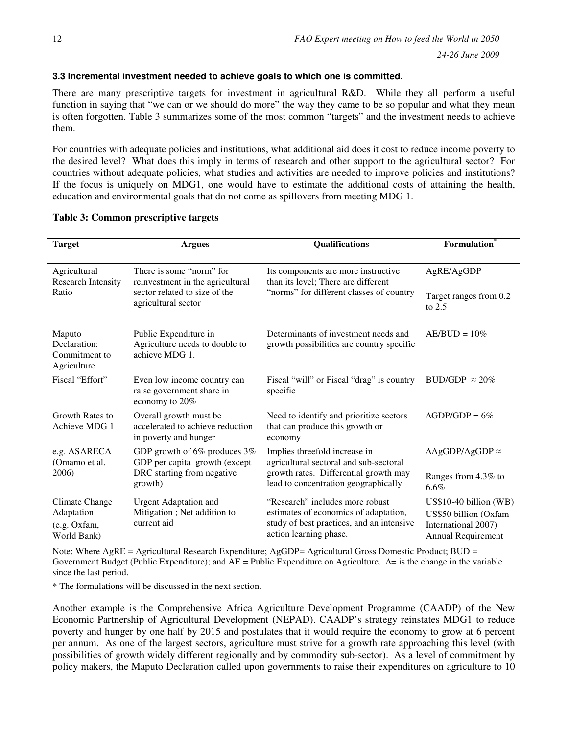## **3.3 Incremental investment needed to achieve goals to which one is committed.**

There are many prescriptive targets for investment in agricultural R&D. While they all perform a useful function in saying that "we can or we should do more" the way they came to be so popular and what they mean is often forgotten. Table 3 summarizes some of the most common "targets" and the investment needs to achieve them.

For countries with adequate policies and institutions, what additional aid does it cost to reduce income poverty to the desired level? What does this imply in terms of research and other support to the agricultural sector? For countries without adequate policies, what studies and activities are needed to improve policies and institutions? If the focus is uniquely on MDG1, one would have to estimate the additional costs of attaining the health, education and environmental goals that do not come as spillovers from meeting MDG 1.

| <b>Target</b>                                               | <b>Argues</b>                                                                                                        | Qualifications                                                                                                                                  | Formulation-                                                                                  |
|-------------------------------------------------------------|----------------------------------------------------------------------------------------------------------------------|-------------------------------------------------------------------------------------------------------------------------------------------------|-----------------------------------------------------------------------------------------------|
| Agricultural<br>Research Intensity<br>Ratio                 | There is some "norm" for<br>reinvestment in the agricultural<br>sector related to size of the<br>agricultural sector | Its components are more instructive<br>than its level; There are different<br>"norms" for different classes of country                          | AgRE/AgGDP<br>Target ranges from 0.2<br>to $2.5$                                              |
| Maputo<br>Declaration:<br>Commitment to<br>Agriculture      | Public Expenditure in<br>Agriculture needs to double to<br>achieve MDG 1.                                            | Determinants of investment needs and<br>growth possibilities are country specific                                                               | $AE/BUD = 10\%$                                                                               |
| Fiscal "Effort"                                             | Even low income country can<br>raise government share in<br>economy to 20%                                           | Fiscal "will" or Fiscal "drag" is country<br>specific                                                                                           | BUD/GDP $\approx 20\%$                                                                        |
| Growth Rates to<br>Achieve MDG 1                            | Overall growth must be<br>accelerated to achieve reduction<br>in poverty and hunger                                  | Need to identify and prioritize sectors<br>that can produce this growth or<br>economy                                                           | $\triangle$ GDP/GDP = 6%                                                                      |
| e.g. ASARECA<br>(Omamo et al.                               | GDP growth of 6% produces 3%<br>GDP per capita growth (except                                                        | Implies threefold increase in<br>agricultural sectoral and sub-sectoral                                                                         | $\triangle$ AgGDP/AgGDP $\approx$                                                             |
| 2006)                                                       | DRC starting from negative<br>growth)                                                                                | growth rates. Differential growth may<br>lead to concentration geographically                                                                   | Ranges from 4.3% to<br>6.6%                                                                   |
| Climate Change<br>Adaptation<br>(e.g. Oxfam,<br>World Bank) | <b>Urgent Adaptation and</b><br>Mitigation; Net addition to<br>current aid                                           | "Research" includes more robust<br>estimates of economics of adaptation,<br>study of best practices, and an intensive<br>action learning phase. | $US$10-40 billion (WB)$<br>US\$50 billion (Oxfam<br>International 2007)<br>Annual Requirement |

### **Table 3: Common prescriptive targets**

Note: Where AgRE = Agricultural Research Expenditure; AgGDP= Agricultural Gross Domestic Product; BUD = Government Budget (Public Expenditure); and AE = Public Expenditure on Agriculture. ∆= is the change in the variable since the last period.

\* The formulations will be discussed in the next section.

Another example is the Comprehensive Africa Agriculture Development Programme (CAADP) of the New Economic Partnership of Agricultural Development (NEPAD). CAADP's strategy reinstates MDG1 to reduce poverty and hunger by one half by 2015 and postulates that it would require the economy to grow at 6 percent per annum. As one of the largest sectors, agriculture must strive for a growth rate approaching this level (with possibilities of growth widely different regionally and by commodity sub-sector). As a level of commitment by policy makers, the Maputo Declaration called upon governments to raise their expenditures on agriculture to 10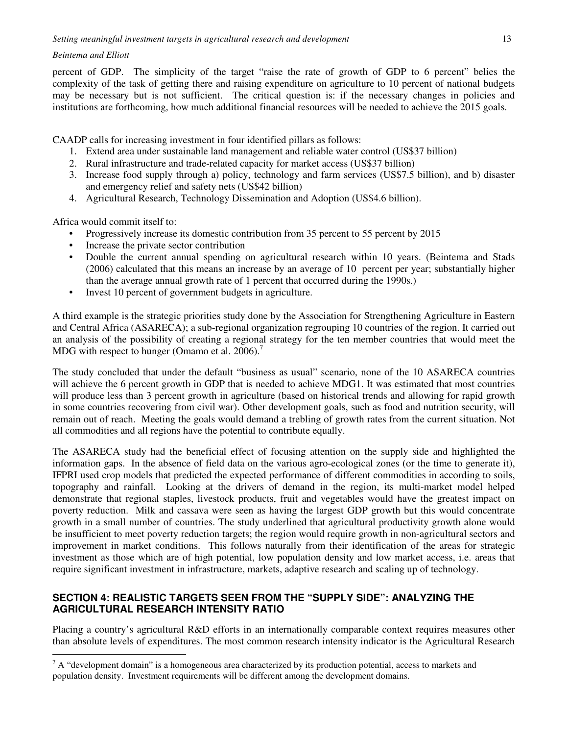percent of GDP. The simplicity of the target "raise the rate of growth of GDP to 6 percent" belies the complexity of the task of getting there and raising expenditure on agriculture to 10 percent of national budgets may be necessary but is not sufficient. The critical question is: if the necessary changes in policies and institutions are forthcoming, how much additional financial resources will be needed to achieve the 2015 goals.

CAADP calls for increasing investment in four identified pillars as follows:

- 1. Extend area under sustainable land management and reliable water control (US\$37 billion)
- 2. Rural infrastructure and trade-related capacity for market access (US\$37 billion)
- 3. Increase food supply through a) policy, technology and farm services (US\$7.5 billion), and b) disaster and emergency relief and safety nets (US\$42 billion)
- 4. Agricultural Research, Technology Dissemination and Adoption (US\$4.6 billion).

Africa would commit itself to:

 $\overline{a}$ 

- Progressively increase its domestic contribution from 35 percent to 55 percent by 2015
- Increase the private sector contribution
- Double the current annual spending on agricultural research within 10 years. (Beintema and Stads (2006) calculated that this means an increase by an average of 10 percent per year; substantially higher than the average annual growth rate of 1 percent that occurred during the 1990s.)
- Invest 10 percent of government budgets in agriculture.

A third example is the strategic priorities study done by the Association for Strengthening Agriculture in Eastern and Central Africa (ASARECA); a sub-regional organization regrouping 10 countries of the region. It carried out an analysis of the possibility of creating a regional strategy for the ten member countries that would meet the MDG with respect to hunger (Omamo et al. 2006).<sup>7</sup>

The study concluded that under the default "business as usual" scenario, none of the 10 ASARECA countries will achieve the 6 percent growth in GDP that is needed to achieve MDG1. It was estimated that most countries will produce less than 3 percent growth in agriculture (based on historical trends and allowing for rapid growth in some countries recovering from civil war). Other development goals, such as food and nutrition security, will remain out of reach. Meeting the goals would demand a trebling of growth rates from the current situation. Not all commodities and all regions have the potential to contribute equally.

The ASARECA study had the beneficial effect of focusing attention on the supply side and highlighted the information gaps. In the absence of field data on the various agro-ecological zones (or the time to generate it), IFPRI used crop models that predicted the expected performance of different commodities in according to soils, topography and rainfall. Looking at the drivers of demand in the region, its multi-market model helped demonstrate that regional staples, livestock products, fruit and vegetables would have the greatest impact on poverty reduction. Milk and cassava were seen as having the largest GDP growth but this would concentrate growth in a small number of countries. The study underlined that agricultural productivity growth alone would be insufficient to meet poverty reduction targets; the region would require growth in non-agricultural sectors and improvement in market conditions. This follows naturally from their identification of the areas for strategic investment as those which are of high potential, low population density and low market access, i.e. areas that require significant investment in infrastructure, markets, adaptive research and scaling up of technology.

## **SECTION 4: REALISTIC TARGETS SEEN FROM THE "SUPPLY SIDE": ANALYZING THE AGRICULTURAL RESEARCH INTENSITY RATIO**

Placing a country's agricultural R&D efforts in an internationally comparable context requires measures other than absolute levels of expenditures. The most common research intensity indicator is the Agricultural Research

 $7 A$  "development domain" is a homogeneous area characterized by its production potential, access to markets and population density. Investment requirements will be different among the development domains.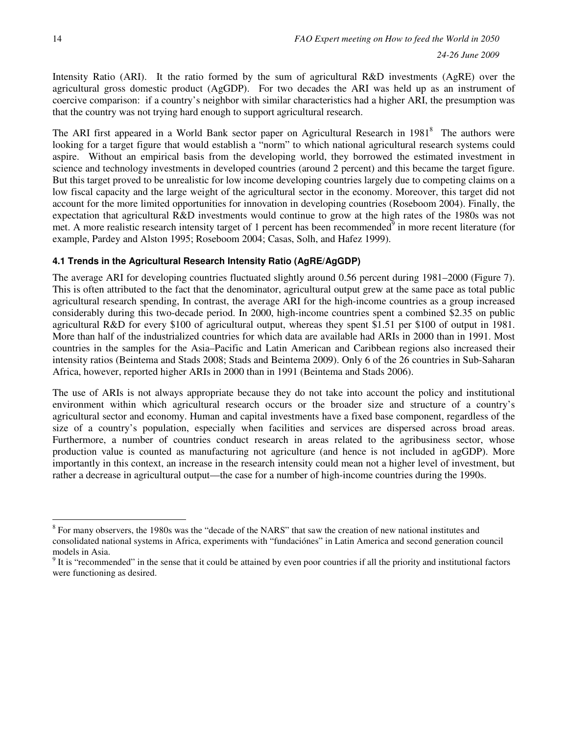Intensity Ratio (ARI). It the ratio formed by the sum of agricultural R&D investments (AgRE) over the agricultural gross domestic product (AgGDP). For two decades the ARI was held up as an instrument of coercive comparison: if a country's neighbor with similar characteristics had a higher ARI, the presumption was that the country was not trying hard enough to support agricultural research.

The ARI first appeared in a World Bank sector paper on Agricultural Research in 1981<sup>8</sup> The authors were looking for a target figure that would establish a "norm" to which national agricultural research systems could aspire. Without an empirical basis from the developing world, they borrowed the estimated investment in science and technology investments in developed countries (around 2 percent) and this became the target figure. But this target proved to be unrealistic for low income developing countries largely due to competing claims on a low fiscal capacity and the large weight of the agricultural sector in the economy. Moreover, this target did not account for the more limited opportunities for innovation in developing countries (Roseboom 2004). Finally, the expectation that agricultural R&D investments would continue to grow at the high rates of the 1980s was not met. A more realistic research intensity target of 1 percent has been recommended $\delta$  in more recent literature (for example, Pardey and Alston 1995; Roseboom 2004; Casas, Solh, and Hafez 1999).

## **4.1 Trends in the Agricultural Research Intensity Ratio (AgRE/AgGDP)**

The average ARI for developing countries fluctuated slightly around 0.56 percent during 1981–2000 (Figure 7). This is often attributed to the fact that the denominator, agricultural output grew at the same pace as total public agricultural research spending, In contrast, the average ARI for the high-income countries as a group increased considerably during this two-decade period. In 2000, high-income countries spent a combined \$2.35 on public agricultural R&D for every \$100 of agricultural output, whereas they spent \$1.51 per \$100 of output in 1981. More than half of the industrialized countries for which data are available had ARIs in 2000 than in 1991. Most countries in the samples for the Asia–Pacific and Latin American and Caribbean regions also increased their intensity ratios (Beintema and Stads 2008; Stads and Beintema 2009). Only 6 of the 26 countries in Sub-Saharan Africa, however, reported higher ARIs in 2000 than in 1991 (Beintema and Stads 2006).

The use of ARIs is not always appropriate because they do not take into account the policy and institutional environment within which agricultural research occurs or the broader size and structure of a country's agricultural sector and economy. Human and capital investments have a fixed base component, regardless of the size of a country's population, especially when facilities and services are dispersed across broad areas. Furthermore, a number of countries conduct research in areas related to the agribusiness sector, whose production value is counted as manufacturing not agriculture (and hence is not included in agGDP). More importantly in this context, an increase in the research intensity could mean not a higher level of investment, but rather a decrease in agricultural output—the case for a number of high-income countries during the 1990s.

 $\overline{a}$ <sup>8</sup> For many observers, the 1980s was the "decade of the NARS" that saw the creation of new national institutes and consolidated national systems in Africa, experiments with "fundaciónes" in Latin America and second generation council models in Asia.

 $9<sup>9</sup>$  It is "recommended" in the sense that it could be attained by even poor countries if all the priority and institutional factors were functioning as desired.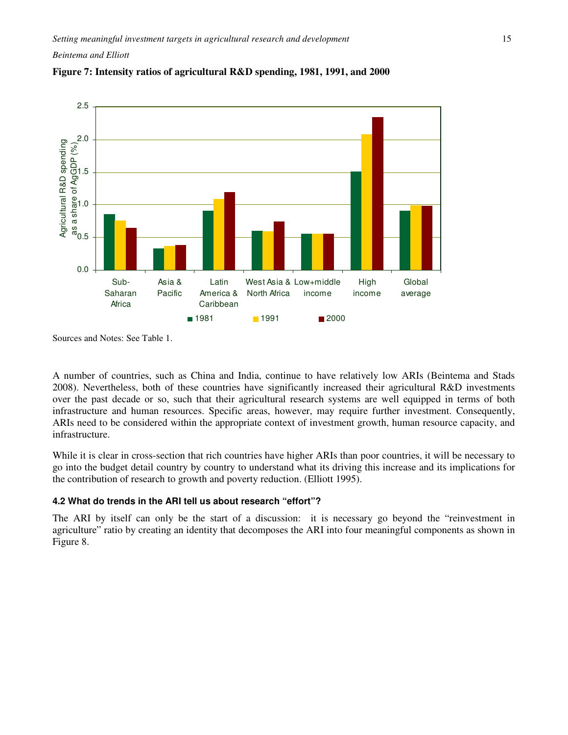



Sources and Notes: See Table 1.

A number of countries, such as China and India, continue to have relatively low ARIs (Beintema and Stads 2008). Nevertheless, both of these countries have significantly increased their agricultural R&D investments over the past decade or so, such that their agricultural research systems are well equipped in terms of both infrastructure and human resources. Specific areas, however, may require further investment. Consequently, ARIs need to be considered within the appropriate context of investment growth, human resource capacity, and infrastructure.

While it is clear in cross-section that rich countries have higher ARIs than poor countries, it will be necessary to go into the budget detail country by country to understand what its driving this increase and its implications for the contribution of research to growth and poverty reduction. (Elliott 1995).

### **4.2 What do trends in the ARI tell us about research "effort"?**

The ARI by itself can only be the start of a discussion: it is necessary go beyond the "reinvestment in agriculture" ratio by creating an identity that decomposes the ARI into four meaningful components as shown in Figure 8.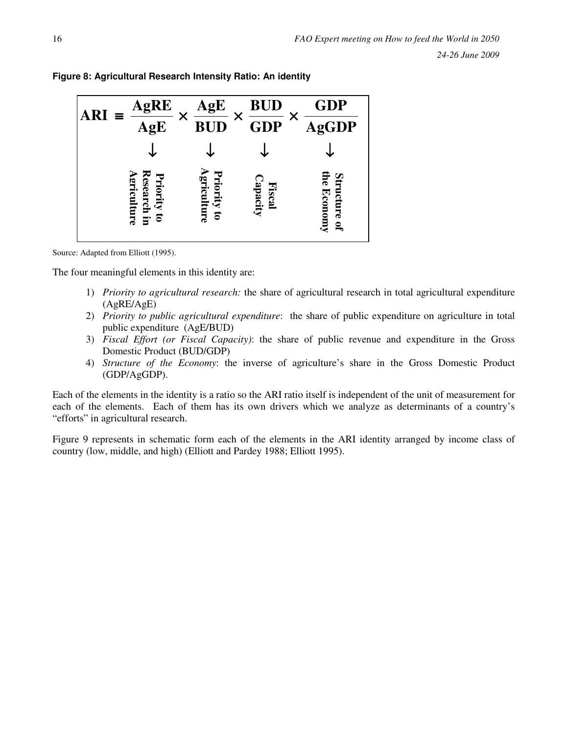

**Figure 8: Agricultural Research Intensity Ratio: An identity** 

Source: Adapted from Elliott (1995).

The four meaningful elements in this identity are:

- 1) *Priority to agricultural research:* the share of agricultural research in total agricultural expenditure (AgRE/AgE)
- 2) *Priority to public agricultural expenditure*: the share of public expenditure on agriculture in total public expenditure (AgE/BUD)
- 3) *Fiscal Effort (or Fiscal Capacity)*: the share of public revenue and expenditure in the Gross Domestic Product (BUD/GDP)
- 4) *Structure of the Economy*: the inverse of agriculture's share in the Gross Domestic Product (GDP/AgGDP).

Each of the elements in the identity is a ratio so the ARI ratio itself is independent of the unit of measurement for each of the elements. Each of them has its own drivers which we analyze as determinants of a country's "efforts" in agricultural research.

Figure 9 represents in schematic form each of the elements in the ARI identity arranged by income class of country (low, middle, and high) (Elliott and Pardey 1988; Elliott 1995).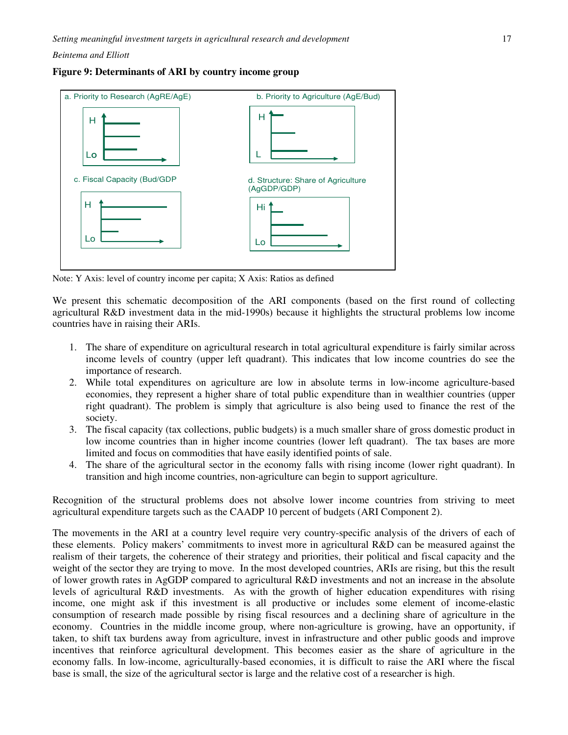



Note: Y Axis: level of country income per capita; X Axis: Ratios as defined

We present this schematic decomposition of the ARI components (based on the first round of collecting agricultural R&D investment data in the mid-1990s) because it highlights the structural problems low income countries have in raising their ARIs.

- 1. The share of expenditure on agricultural research in total agricultural expenditure is fairly similar across income levels of country (upper left quadrant). This indicates that low income countries do see the importance of research.
- 2. While total expenditures on agriculture are low in absolute terms in low-income agriculture-based economies, they represent a higher share of total public expenditure than in wealthier countries (upper right quadrant). The problem is simply that agriculture is also being used to finance the rest of the society.
- 3. The fiscal capacity (tax collections, public budgets) is a much smaller share of gross domestic product in low income countries than in higher income countries (lower left quadrant). The tax bases are more limited and focus on commodities that have easily identified points of sale.
- 4. The share of the agricultural sector in the economy falls with rising income (lower right quadrant). In transition and high income countries, non-agriculture can begin to support agriculture.

Recognition of the structural problems does not absolve lower income countries from striving to meet agricultural expenditure targets such as the CAADP 10 percent of budgets (ARI Component 2).

The movements in the ARI at a country level require very country-specific analysis of the drivers of each of these elements. Policy makers' commitments to invest more in agricultural R&D can be measured against the realism of their targets, the coherence of their strategy and priorities, their political and fiscal capacity and the weight of the sector they are trying to move. In the most developed countries, ARIs are rising, but this the result of lower growth rates in AgGDP compared to agricultural R&D investments and not an increase in the absolute levels of agricultural R&D investments. As with the growth of higher education expenditures with rising income, one might ask if this investment is all productive or includes some element of income-elastic consumption of research made possible by rising fiscal resources and a declining share of agriculture in the economy. Countries in the middle income group, where non-agriculture is growing, have an opportunity, if taken, to shift tax burdens away from agriculture, invest in infrastructure and other public goods and improve incentives that reinforce agricultural development. This becomes easier as the share of agriculture in the economy falls. In low-income, agriculturally-based economies, it is difficult to raise the ARI where the fiscal base is small, the size of the agricultural sector is large and the relative cost of a researcher is high.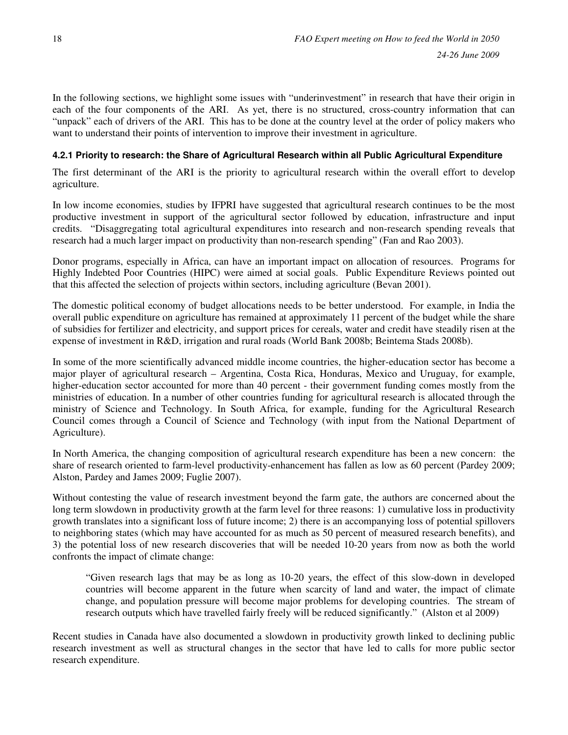In the following sections, we highlight some issues with "underinvestment" in research that have their origin in each of the four components of the ARI. As yet, there is no structured, cross-country information that can "unpack" each of drivers of the ARI. This has to be done at the country level at the order of policy makers who want to understand their points of intervention to improve their investment in agriculture.

## **4.2.1 Priority to research: the Share of Agricultural Research within all Public Agricultural Expenditure**

The first determinant of the ARI is the priority to agricultural research within the overall effort to develop agriculture.

In low income economies, studies by IFPRI have suggested that agricultural research continues to be the most productive investment in support of the agricultural sector followed by education, infrastructure and input credits. "Disaggregating total agricultural expenditures into research and non-research spending reveals that research had a much larger impact on productivity than non-research spending" (Fan and Rao 2003).

Donor programs, especially in Africa, can have an important impact on allocation of resources. Programs for Highly Indebted Poor Countries (HIPC) were aimed at social goals. Public Expenditure Reviews pointed out that this affected the selection of projects within sectors, including agriculture (Bevan 2001).

The domestic political economy of budget allocations needs to be better understood. For example, in India the overall public expenditure on agriculture has remained at approximately 11 percent of the budget while the share of subsidies for fertilizer and electricity, and support prices for cereals, water and credit have steadily risen at the expense of investment in R&D, irrigation and rural roads (World Bank 2008b; Beintema Stads 2008b).

In some of the more scientifically advanced middle income countries, the higher-education sector has become a major player of agricultural research – Argentina, Costa Rica, Honduras, Mexico and Uruguay, for example, higher-education sector accounted for more than 40 percent - their government funding comes mostly from the ministries of education. In a number of other countries funding for agricultural research is allocated through the ministry of Science and Technology. In South Africa, for example, funding for the Agricultural Research Council comes through a Council of Science and Technology (with input from the National Department of Agriculture).

In North America, the changing composition of agricultural research expenditure has been a new concern: the share of research oriented to farm-level productivity-enhancement has fallen as low as 60 percent (Pardey 2009; Alston, Pardey and James 2009; Fuglie 2007).

Without contesting the value of research investment beyond the farm gate, the authors are concerned about the long term slowdown in productivity growth at the farm level for three reasons: 1) cumulative loss in productivity growth translates into a significant loss of future income; 2) there is an accompanying loss of potential spillovers to neighboring states (which may have accounted for as much as 50 percent of measured research benefits), and 3) the potential loss of new research discoveries that will be needed 10-20 years from now as both the world confronts the impact of climate change:

"Given research lags that may be as long as 10-20 years, the effect of this slow-down in developed countries will become apparent in the future when scarcity of land and water, the impact of climate change, and population pressure will become major problems for developing countries. The stream of research outputs which have travelled fairly freely will be reduced significantly." (Alston et al 2009)

Recent studies in Canada have also documented a slowdown in productivity growth linked to declining public research investment as well as structural changes in the sector that have led to calls for more public sector research expenditure.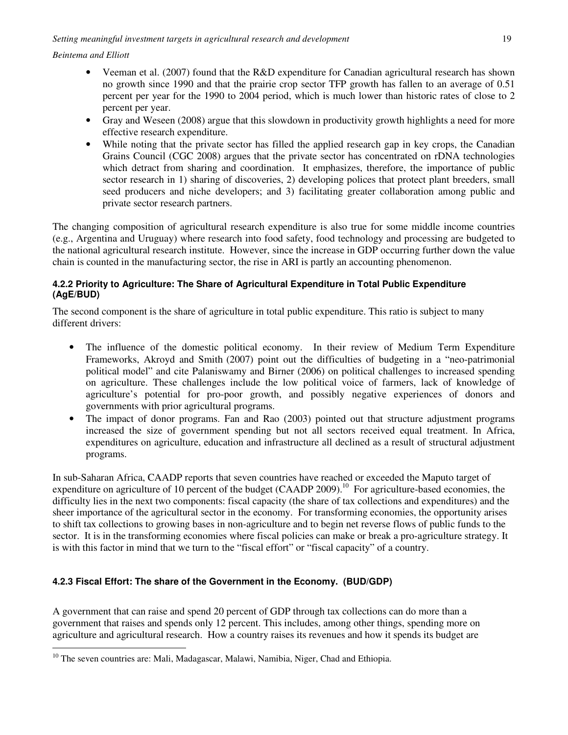$\overline{a}$ 

- Veeman et al. (2007) found that the R&D expenditure for Canadian agricultural research has shown no growth since 1990 and that the prairie crop sector TFP growth has fallen to an average of 0.51 percent per year for the 1990 to 2004 period, which is much lower than historic rates of close to 2 percent per year.
- Gray and Weseen (2008) argue that this slowdown in productivity growth highlights a need for more effective research expenditure.
- While noting that the private sector has filled the applied research gap in key crops, the Canadian Grains Council (CGC 2008) argues that the private sector has concentrated on rDNA technologies which detract from sharing and coordination. It emphasizes, therefore, the importance of public sector research in 1) sharing of discoveries, 2) developing polices that protect plant breeders, small seed producers and niche developers; and 3) facilitating greater collaboration among public and private sector research partners.

The changing composition of agricultural research expenditure is also true for some middle income countries (e.g., Argentina and Uruguay) where research into food safety, food technology and processing are budgeted to the national agricultural research institute. However, since the increase in GDP occurring further down the value chain is counted in the manufacturing sector, the rise in ARI is partly an accounting phenomenon.

## **4.2.2 Priority to Agriculture: The Share of Agricultural Expenditure in Total Public Expenditure (AgE/BUD)**

The second component is the share of agriculture in total public expenditure. This ratio is subject to many different drivers:

- The influence of the domestic political economy. In their review of Medium Term Expenditure Frameworks, Akroyd and Smith (2007) point out the difficulties of budgeting in a "neo-patrimonial political model" and cite Palaniswamy and Birner (2006) on political challenges to increased spending on agriculture. These challenges include the low political voice of farmers, lack of knowledge of agriculture's potential for pro-poor growth, and possibly negative experiences of donors and governments with prior agricultural programs.
- The impact of donor programs. Fan and Rao (2003) pointed out that structure adjustment programs increased the size of government spending but not all sectors received equal treatment. In Africa, expenditures on agriculture, education and infrastructure all declined as a result of structural adjustment programs.

In sub-Saharan Africa, CAADP reports that seven countries have reached or exceeded the Maputo target of expenditure on agriculture of 10 percent of the budget (CAADP 2009).<sup>10</sup> For agriculture-based economies, the difficulty lies in the next two components: fiscal capacity (the share of tax collections and expenditures) and the sheer importance of the agricultural sector in the economy. For transforming economies, the opportunity arises to shift tax collections to growing bases in non-agriculture and to begin net reverse flows of public funds to the sector. It is in the transforming economies where fiscal policies can make or break a pro-agriculture strategy. It is with this factor in mind that we turn to the "fiscal effort" or "fiscal capacity" of a country.

## **4.2.3 Fiscal Effort: The share of the Government in the Economy. (BUD/GDP)**

A government that can raise and spend 20 percent of GDP through tax collections can do more than a government that raises and spends only 12 percent. This includes, among other things, spending more on agriculture and agricultural research. How a country raises its revenues and how it spends its budget are

<sup>&</sup>lt;sup>10</sup> The seven countries are: Mali, Madagascar, Malawi, Namibia, Niger, Chad and Ethiopia.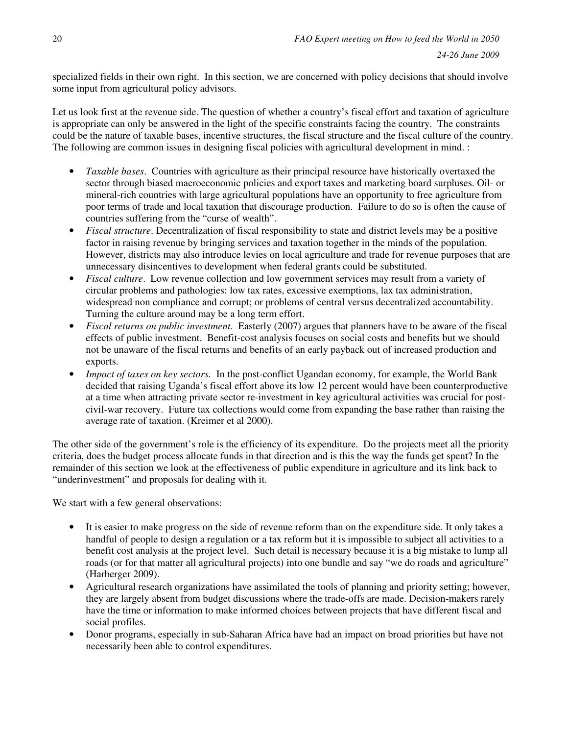specialized fields in their own right. In this section, we are concerned with policy decisions that should involve some input from agricultural policy advisors.

Let us look first at the revenue side. The question of whether a country's fiscal effort and taxation of agriculture is appropriate can only be answered in the light of the specific constraints facing the country. The constraints could be the nature of taxable bases, incentive structures, the fiscal structure and the fiscal culture of the country. The following are common issues in designing fiscal policies with agricultural development in mind. :

- *Taxable bases*. Countries with agriculture as their principal resource have historically overtaxed the sector through biased macroeconomic policies and export taxes and marketing board surpluses. Oil- or mineral-rich countries with large agricultural populations have an opportunity to free agriculture from poor terms of trade and local taxation that discourage production. Failure to do so is often the cause of countries suffering from the "curse of wealth".
- *Fiscal structure*. Decentralization of fiscal responsibility to state and district levels may be a positive factor in raising revenue by bringing services and taxation together in the minds of the population. However, districts may also introduce levies on local agriculture and trade for revenue purposes that are unnecessary disincentives to development when federal grants could be substituted.
- *Fiscal culture*. Low revenue collection and low government services may result from a variety of circular problems and pathologies: low tax rates, excessive exemptions, lax tax administration, widespread non compliance and corrupt; or problems of central versus decentralized accountability. Turning the culture around may be a long term effort.
- *Fiscal returns on public investment.* Easterly (2007) argues that planners have to be aware of the fiscal effects of public investment. Benefit-cost analysis focuses on social costs and benefits but we should not be unaware of the fiscal returns and benefits of an early payback out of increased production and exports.
- *Impact of taxes on key sectors.* In the post-conflict Ugandan economy, for example, the World Bank decided that raising Uganda's fiscal effort above its low 12 percent would have been counterproductive at a time when attracting private sector re-investment in key agricultural activities was crucial for postcivil-war recovery. Future tax collections would come from expanding the base rather than raising the average rate of taxation. (Kreimer et al 2000).

The other side of the government's role is the efficiency of its expenditure. Do the projects meet all the priority criteria, does the budget process allocate funds in that direction and is this the way the funds get spent? In the remainder of this section we look at the effectiveness of public expenditure in agriculture and its link back to "underinvestment" and proposals for dealing with it.

We start with a few general observations:

- It is easier to make progress on the side of revenue reform than on the expenditure side. It only takes a handful of people to design a regulation or a tax reform but it is impossible to subject all activities to a benefit cost analysis at the project level. Such detail is necessary because it is a big mistake to lump all roads (or for that matter all agricultural projects) into one bundle and say "we do roads and agriculture" (Harberger 2009).
- Agricultural research organizations have assimilated the tools of planning and priority setting; however, they are largely absent from budget discussions where the trade-offs are made. Decision-makers rarely have the time or information to make informed choices between projects that have different fiscal and social profiles.
- Donor programs, especially in sub-Saharan Africa have had an impact on broad priorities but have not necessarily been able to control expenditures.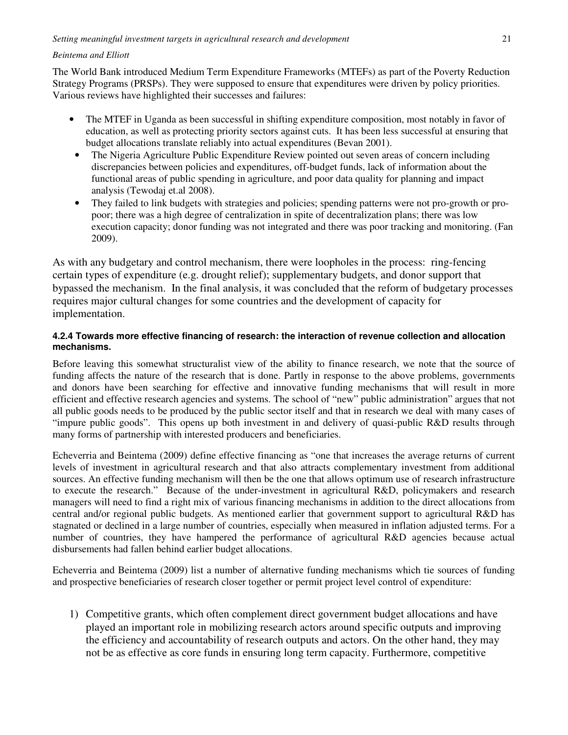The World Bank introduced Medium Term Expenditure Frameworks (MTEFs) as part of the Poverty Reduction Strategy Programs (PRSPs). They were supposed to ensure that expenditures were driven by policy priorities. Various reviews have highlighted their successes and failures:

- The MTEF in Uganda as been successful in shifting expenditure composition, most notably in favor of education, as well as protecting priority sectors against cuts. It has been less successful at ensuring that budget allocations translate reliably into actual expenditures (Bevan 2001).
	- The Nigeria Agriculture Public Expenditure Review pointed out seven areas of concern including discrepancies between policies and expenditures, off-budget funds, lack of information about the functional areas of public spending in agriculture, and poor data quality for planning and impact analysis (Tewodaj et.al 2008).
	- They failed to link budgets with strategies and policies; spending patterns were not pro-growth or propoor; there was a high degree of centralization in spite of decentralization plans; there was low execution capacity; donor funding was not integrated and there was poor tracking and monitoring. (Fan 2009).

As with any budgetary and control mechanism, there were loopholes in the process: ring-fencing certain types of expenditure (e.g. drought relief); supplementary budgets, and donor support that bypassed the mechanism. In the final analysis, it was concluded that the reform of budgetary processes requires major cultural changes for some countries and the development of capacity for implementation.

### **4.2.4 Towards more effective financing of research: the interaction of revenue collection and allocation mechanisms.**

Before leaving this somewhat structuralist view of the ability to finance research, we note that the source of funding affects the nature of the research that is done. Partly in response to the above problems, governments and donors have been searching for effective and innovative funding mechanisms that will result in more efficient and effective research agencies and systems. The school of "new" public administration" argues that not all public goods needs to be produced by the public sector itself and that in research we deal with many cases of "impure public goods". This opens up both investment in and delivery of quasi-public R&D results through many forms of partnership with interested producers and beneficiaries.

Echeverria and Beintema (2009) define effective financing as "one that increases the average returns of current levels of investment in agricultural research and that also attracts complementary investment from additional sources. An effective funding mechanism will then be the one that allows optimum use of research infrastructure to execute the research." Because of the under-investment in agricultural R&D, policymakers and research managers will need to find a right mix of various financing mechanisms in addition to the direct allocations from central and/or regional public budgets. As mentioned earlier that government support to agricultural R&D has stagnated or declined in a large number of countries, especially when measured in inflation adjusted terms. For a number of countries, they have hampered the performance of agricultural R&D agencies because actual disbursements had fallen behind earlier budget allocations.

Echeverria and Beintema (2009) list a number of alternative funding mechanisms which tie sources of funding and prospective beneficiaries of research closer together or permit project level control of expenditure:

1) Competitive grants, which often complement direct government budget allocations and have played an important role in mobilizing research actors around specific outputs and improving the efficiency and accountability of research outputs and actors. On the other hand, they may not be as effective as core funds in ensuring long term capacity. Furthermore, competitive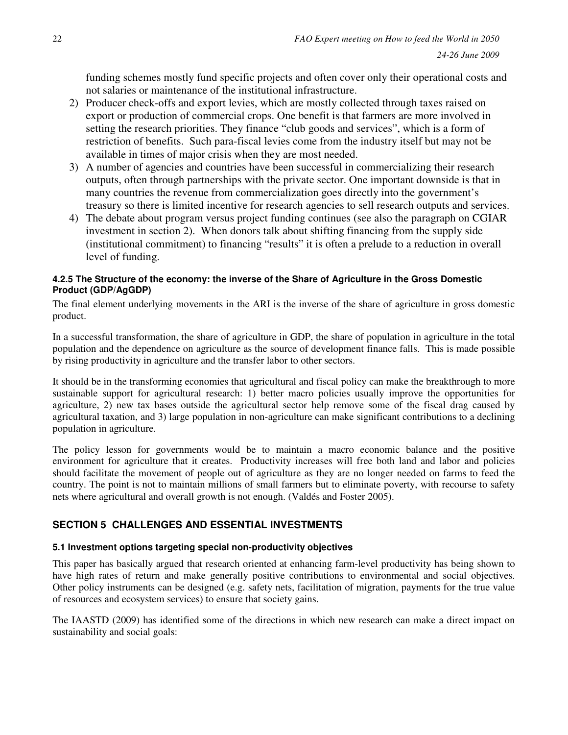funding schemes mostly fund specific projects and often cover only their operational costs and not salaries or maintenance of the institutional infrastructure.

- 2) Producer check-offs and export levies, which are mostly collected through taxes raised on export or production of commercial crops. One benefit is that farmers are more involved in setting the research priorities. They finance "club goods and services", which is a form of restriction of benefits. Such para-fiscal levies come from the industry itself but may not be available in times of major crisis when they are most needed.
- 3) A number of agencies and countries have been successful in commercializing their research outputs, often through partnerships with the private sector. One important downside is that in many countries the revenue from commercialization goes directly into the government's treasury so there is limited incentive for research agencies to sell research outputs and services.
- 4) The debate about program versus project funding continues (see also the paragraph on CGIAR investment in section 2). When donors talk about shifting financing from the supply side (institutional commitment) to financing "results" it is often a prelude to a reduction in overall level of funding.

## **4.2.5 The Structure of the economy: the inverse of the Share of Agriculture in the Gross Domestic Product (GDP/AgGDP)**

The final element underlying movements in the ARI is the inverse of the share of agriculture in gross domestic product.

In a successful transformation, the share of agriculture in GDP, the share of population in agriculture in the total population and the dependence on agriculture as the source of development finance falls. This is made possible by rising productivity in agriculture and the transfer labor to other sectors.

It should be in the transforming economies that agricultural and fiscal policy can make the breakthrough to more sustainable support for agricultural research: 1) better macro policies usually improve the opportunities for agriculture, 2) new tax bases outside the agricultural sector help remove some of the fiscal drag caused by agricultural taxation, and 3) large population in non-agriculture can make significant contributions to a declining population in agriculture.

The policy lesson for governments would be to maintain a macro economic balance and the positive environment for agriculture that it creates. Productivity increases will free both land and labor and policies should facilitate the movement of people out of agriculture as they are no longer needed on farms to feed the country. The point is not to maintain millions of small farmers but to eliminate poverty, with recourse to safety nets where agricultural and overall growth is not enough. (Valdés and Foster 2005).

# **SECTION 5 CHALLENGES AND ESSENTIAL INVESTMENTS**

## **5.1 Investment options targeting special non-productivity objectives**

This paper has basically argued that research oriented at enhancing farm-level productivity has being shown to have high rates of return and make generally positive contributions to environmental and social objectives. Other policy instruments can be designed (e.g. safety nets, facilitation of migration, payments for the true value of resources and ecosystem services) to ensure that society gains.

The IAASTD (2009) has identified some of the directions in which new research can make a direct impact on sustainability and social goals: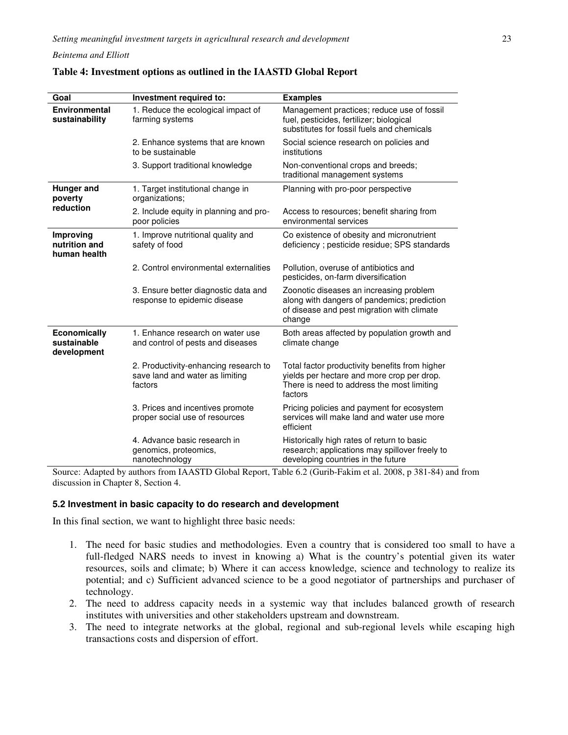| Goal                                              | Investment required to:                                                             | <b>Examples</b>                                                                                                                                       |  |
|---------------------------------------------------|-------------------------------------------------------------------------------------|-------------------------------------------------------------------------------------------------------------------------------------------------------|--|
| <b>Environmental</b><br>sustainability            | 1. Reduce the ecological impact of<br>farming systems                               | Management practices; reduce use of fossil<br>fuel, pesticides, fertilizer; biological<br>substitutes for fossil fuels and chemicals                  |  |
|                                                   | 2. Enhance systems that are known<br>to be sustainable                              | Social science research on policies and<br>institutions                                                                                               |  |
|                                                   | 3. Support traditional knowledge                                                    | Non-conventional crops and breeds;<br>traditional management systems                                                                                  |  |
| Hunger and<br>poverty<br>reduction                | 1. Target institutional change in<br>organizations;                                 | Planning with pro-poor perspective                                                                                                                    |  |
|                                                   | 2. Include equity in planning and pro-<br>poor policies                             | Access to resources; benefit sharing from<br>environmental services                                                                                   |  |
| Improving<br>nutrition and<br>human health        | 1. Improve nutritional quality and<br>safety of food                                | Co existence of obesity and micronutrient<br>deficiency; pesticide residue; SPS standards                                                             |  |
|                                                   | 2. Control environmental externalities                                              | Pollution, overuse of antibiotics and<br>pesticides, on-farm diversification                                                                          |  |
|                                                   | 3. Ensure better diagnostic data and<br>response to epidemic disease                | Zoonotic diseases an increasing problem<br>along with dangers of pandemics; prediction<br>of disease and pest migration with climate<br>change        |  |
| <b>Economically</b><br>sustainable<br>development | 1. Enhance research on water use<br>and control of pests and diseases               | Both areas affected by population growth and<br>climate change                                                                                        |  |
|                                                   | 2. Productivity-enhancing research to<br>save land and water as limiting<br>factors | Total factor productivity benefits from higher<br>yields per hectare and more crop per drop.<br>There is need to address the most limiting<br>factors |  |
|                                                   | 3. Prices and incentives promote<br>proper social use of resources                  | Pricing policies and payment for ecosystem<br>services will make land and water use more<br>efficient                                                 |  |
|                                                   | 4. Advance basic research in<br>genomics, proteomics,<br>nanotechnology             | Historically high rates of return to basic<br>research; applications may spillover freely to<br>developing countries in the future                    |  |

### **Table 4: Investment options as outlined in the IAASTD Global Report**

Source: Adapted by authors from IAASTD Global Report, Table 6.2 (Gurib-Fakim et al. 2008, p 381-84) and from discussion in Chapter 8, Section 4.

#### **5.2 Investment in basic capacity to do research and development**

In this final section, we want to highlight three basic needs:

- 1. The need for basic studies and methodologies. Even a country that is considered too small to have a full-fledged NARS needs to invest in knowing a) What is the country's potential given its water resources, soils and climate; b) Where it can access knowledge, science and technology to realize its potential; and c) Sufficient advanced science to be a good negotiator of partnerships and purchaser of technology.
- 2. The need to address capacity needs in a systemic way that includes balanced growth of research institutes with universities and other stakeholders upstream and downstream.
- 3. The need to integrate networks at the global, regional and sub-regional levels while escaping high transactions costs and dispersion of effort.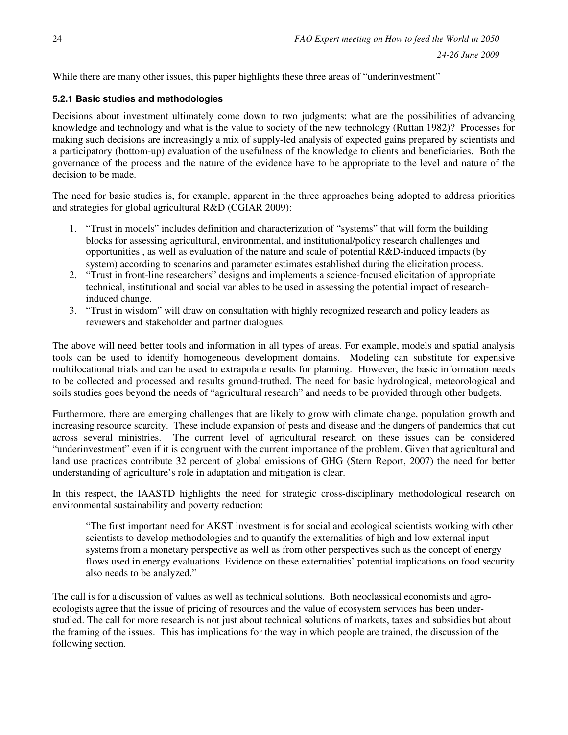While there are many other issues, this paper highlights these three areas of "underinvestment"

## **5.2.1 Basic studies and methodologies**

Decisions about investment ultimately come down to two judgments: what are the possibilities of advancing knowledge and technology and what is the value to society of the new technology (Ruttan 1982)? Processes for making such decisions are increasingly a mix of supply-led analysis of expected gains prepared by scientists and a participatory (bottom-up) evaluation of the usefulness of the knowledge to clients and beneficiaries. Both the governance of the process and the nature of the evidence have to be appropriate to the level and nature of the decision to be made.

The need for basic studies is, for example, apparent in the three approaches being adopted to address priorities and strategies for global agricultural R&D (CGIAR 2009):

- 1. "Trust in models" includes definition and characterization of "systems" that will form the building blocks for assessing agricultural, environmental, and institutional/policy research challenges and opportunities , as well as evaluation of the nature and scale of potential R&D-induced impacts (by system) according to scenarios and parameter estimates established during the elicitation process.
- 2. "Trust in front-line researchers" designs and implements a science-focused elicitation of appropriate technical, institutional and social variables to be used in assessing the potential impact of researchinduced change.
- 3. "Trust in wisdom" will draw on consultation with highly recognized research and policy leaders as reviewers and stakeholder and partner dialogues.

The above will need better tools and information in all types of areas. For example, models and spatial analysis tools can be used to identify homogeneous development domains. Modeling can substitute for expensive multilocational trials and can be used to extrapolate results for planning. However, the basic information needs to be collected and processed and results ground-truthed. The need for basic hydrological, meteorological and soils studies goes beyond the needs of "agricultural research" and needs to be provided through other budgets.

Furthermore, there are emerging challenges that are likely to grow with climate change, population growth and increasing resource scarcity. These include expansion of pests and disease and the dangers of pandemics that cut across several ministries. The current level of agricultural research on these issues can be considered "underinvestment" even if it is congruent with the current importance of the problem. Given that agricultural and land use practices contribute 32 percent of global emissions of GHG (Stern Report, 2007) the need for better understanding of agriculture's role in adaptation and mitigation is clear.

In this respect, the IAASTD highlights the need for strategic cross-disciplinary methodological research on environmental sustainability and poverty reduction:

"The first important need for AKST investment is for social and ecological scientists working with other scientists to develop methodologies and to quantify the externalities of high and low external input systems from a monetary perspective as well as from other perspectives such as the concept of energy flows used in energy evaluations. Evidence on these externalities' potential implications on food security also needs to be analyzed."

The call is for a discussion of values as well as technical solutions. Both neoclassical economists and agroecologists agree that the issue of pricing of resources and the value of ecosystem services has been understudied. The call for more research is not just about technical solutions of markets, taxes and subsidies but about the framing of the issues. This has implications for the way in which people are trained, the discussion of the following section.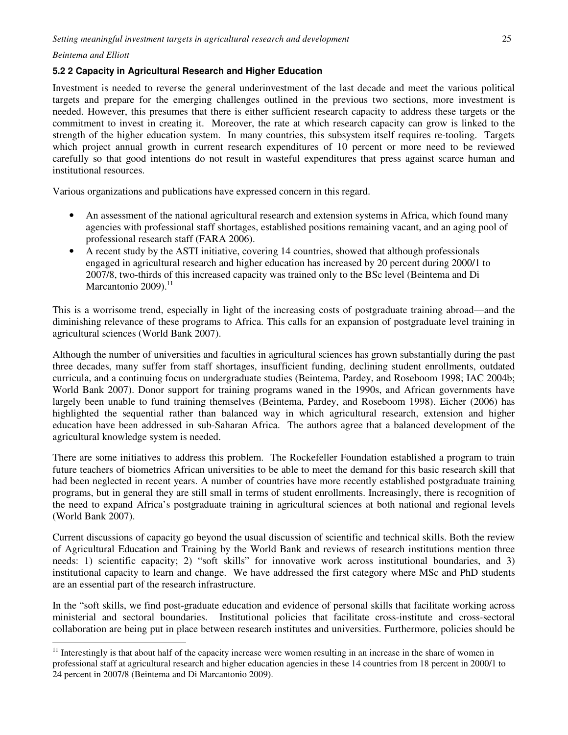$\overline{a}$ 

#### **5.2 2 Capacity in Agricultural Research and Higher Education**

Investment is needed to reverse the general underinvestment of the last decade and meet the various political targets and prepare for the emerging challenges outlined in the previous two sections, more investment is needed. However, this presumes that there is either sufficient research capacity to address these targets or the commitment to invest in creating it. Moreover, the rate at which research capacity can grow is linked to the strength of the higher education system. In many countries, this subsystem itself requires re-tooling. Targets which project annual growth in current research expenditures of 10 percent or more need to be reviewed carefully so that good intentions do not result in wasteful expenditures that press against scarce human and institutional resources.

Various organizations and publications have expressed concern in this regard.

- An assessment of the national agricultural research and extension systems in Africa, which found many agencies with professional staff shortages, established positions remaining vacant, and an aging pool of professional research staff (FARA 2006).
- A recent study by the ASTI initiative, covering 14 countries, showed that although professionals engaged in agricultural research and higher education has increased by 20 percent during 2000/1 to 2007/8, two-thirds of this increased capacity was trained only to the BSc level (Beintema and Di Marcantonio 2009).<sup>11</sup>

This is a worrisome trend, especially in light of the increasing costs of postgraduate training abroad—and the diminishing relevance of these programs to Africa. This calls for an expansion of postgraduate level training in agricultural sciences (World Bank 2007).

Although the number of universities and faculties in agricultural sciences has grown substantially during the past three decades, many suffer from staff shortages, insufficient funding, declining student enrollments, outdated curricula, and a continuing focus on undergraduate studies (Beintema, Pardey, and Roseboom 1998; IAC 2004b; World Bank 2007). Donor support for training programs waned in the 1990s, and African governments have largely been unable to fund training themselves (Beintema, Pardey, and Roseboom 1998). Eicher (2006) has highlighted the sequential rather than balanced way in which agricultural research, extension and higher education have been addressed in sub-Saharan Africa. The authors agree that a balanced development of the agricultural knowledge system is needed.

There are some initiatives to address this problem. The Rockefeller Foundation established a program to train future teachers of biometrics African universities to be able to meet the demand for this basic research skill that had been neglected in recent years. A number of countries have more recently established postgraduate training programs, but in general they are still small in terms of student enrollments. Increasingly, there is recognition of the need to expand Africa's postgraduate training in agricultural sciences at both national and regional levels (World Bank 2007).

Current discussions of capacity go beyond the usual discussion of scientific and technical skills. Both the review of Agricultural Education and Training by the World Bank and reviews of research institutions mention three needs: 1) scientific capacity; 2) "soft skills" for innovative work across institutional boundaries, and 3) institutional capacity to learn and change. We have addressed the first category where MSc and PhD students are an essential part of the research infrastructure.

In the "soft skills, we find post-graduate education and evidence of personal skills that facilitate working across ministerial and sectoral boundaries. Institutional policies that facilitate cross-institute and cross-sectoral collaboration are being put in place between research institutes and universities. Furthermore, policies should be

 $11$  Interestingly is that about half of the capacity increase were women resulting in an increase in the share of women in professional staff at agricultural research and higher education agencies in these 14 countries from 18 percent in 2000/1 to 24 percent in 2007/8 (Beintema and Di Marcantonio 2009).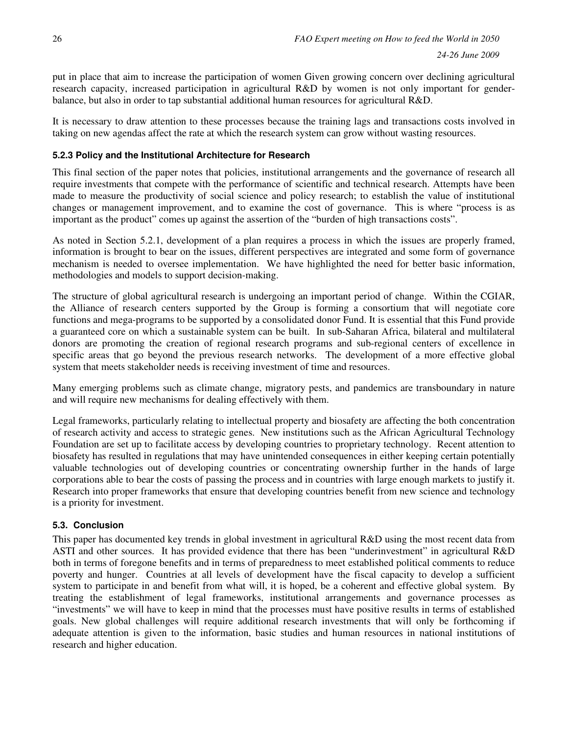put in place that aim to increase the participation of women Given growing concern over declining agricultural research capacity, increased participation in agricultural R&D by women is not only important for genderbalance, but also in order to tap substantial additional human resources for agricultural R&D.

It is necessary to draw attention to these processes because the training lags and transactions costs involved in taking on new agendas affect the rate at which the research system can grow without wasting resources.

## **5.2.3 Policy and the Institutional Architecture for Research**

This final section of the paper notes that policies, institutional arrangements and the governance of research all require investments that compete with the performance of scientific and technical research. Attempts have been made to measure the productivity of social science and policy research; to establish the value of institutional changes or management improvement, and to examine the cost of governance. This is where "process is as important as the product" comes up against the assertion of the "burden of high transactions costs".

As noted in Section 5.2.1, development of a plan requires a process in which the issues are properly framed, information is brought to bear on the issues, different perspectives are integrated and some form of governance mechanism is needed to oversee implementation. We have highlighted the need for better basic information, methodologies and models to support decision-making.

The structure of global agricultural research is undergoing an important period of change. Within the CGIAR, the Alliance of research centers supported by the Group is forming a consortium that will negotiate core functions and mega-programs to be supported by a consolidated donor Fund. It is essential that this Fund provide a guaranteed core on which a sustainable system can be built. In sub-Saharan Africa, bilateral and multilateral donors are promoting the creation of regional research programs and sub-regional centers of excellence in specific areas that go beyond the previous research networks. The development of a more effective global system that meets stakeholder needs is receiving investment of time and resources.

Many emerging problems such as climate change, migratory pests, and pandemics are transboundary in nature and will require new mechanisms for dealing effectively with them.

Legal frameworks, particularly relating to intellectual property and biosafety are affecting the both concentration of research activity and access to strategic genes. New institutions such as the African Agricultural Technology Foundation are set up to facilitate access by developing countries to proprietary technology. Recent attention to biosafety has resulted in regulations that may have unintended consequences in either keeping certain potentially valuable technologies out of developing countries or concentrating ownership further in the hands of large corporations able to bear the costs of passing the process and in countries with large enough markets to justify it. Research into proper frameworks that ensure that developing countries benefit from new science and technology is a priority for investment.

### **5.3. Conclusion**

This paper has documented key trends in global investment in agricultural R&D using the most recent data from ASTI and other sources. It has provided evidence that there has been "underinvestment" in agricultural R&D both in terms of foregone benefits and in terms of preparedness to meet established political comments to reduce poverty and hunger. Countries at all levels of development have the fiscal capacity to develop a sufficient system to participate in and benefit from what will, it is hoped, be a coherent and effective global system. By treating the establishment of legal frameworks, institutional arrangements and governance processes as "investments" we will have to keep in mind that the processes must have positive results in terms of established goals. New global challenges will require additional research investments that will only be forthcoming if adequate attention is given to the information, basic studies and human resources in national institutions of research and higher education.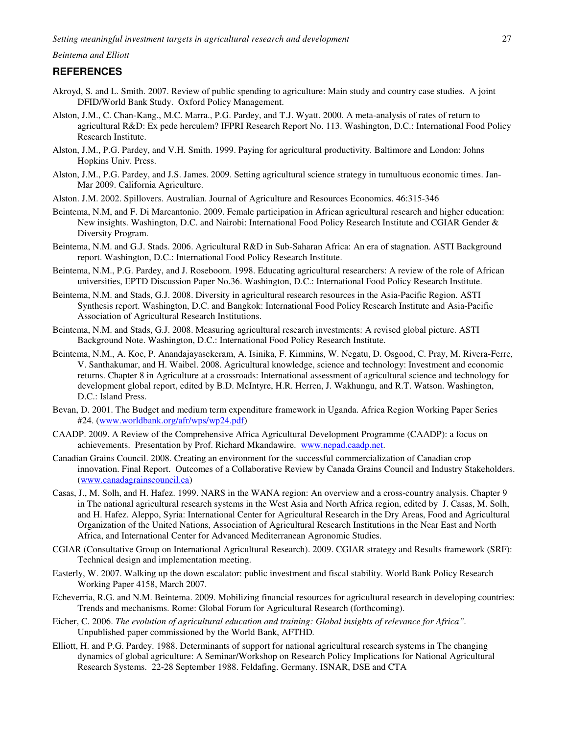### **REFERENCES**

- Akroyd, S. and L. Smith. 2007. Review of public spending to agriculture: Main study and country case studies. A joint DFID/World Bank Study. Oxford Policy Management.
- Alston, J.M., C. Chan-Kang., M.C. Marra., P.G. Pardey, and T.J. Wyatt. 2000. A meta-analysis of rates of return to agricultural R&D: Ex pede herculem? IFPRI Research Report No. 113. Washington, D.C.: International Food Policy Research Institute.
- Alston, J.M., P.G. Pardey, and V.H. Smith. 1999. Paying for agricultural productivity. Baltimore and London: Johns Hopkins Univ. Press.
- Alston, J.M., P.G. Pardey, and J.S. James. 2009. Setting agricultural science strategy in tumultuous economic times. Jan-Mar 2009. California Agriculture.
- Alston. J.M. 2002. Spillovers. Australian. Journal of Agriculture and Resources Economics. 46:315-346
- Beintema, N.M, and F. Di Marcantonio. 2009. Female participation in African agricultural research and higher education: New insights. Washington, D.C. and Nairobi: International Food Policy Research Institute and CGIAR Gender & Diversity Program.
- Beintema, N.M. and G.J. Stads. 2006. Agricultural R&D in Sub-Saharan Africa: An era of stagnation. ASTI Background report. Washington, D.C.: International Food Policy Research Institute.
- Beintema, N.M., P.G. Pardey, and J. Roseboom. 1998. Educating agricultural researchers: A review of the role of African universities, EPTD Discussion Paper No.36. Washington, D.C.: International Food Policy Research Institute.
- Beintema, N.M. and Stads, G.J. 2008. Diversity in agricultural research resources in the Asia-Pacific Region. ASTI Synthesis report. Washington, D.C. and Bangkok: International Food Policy Research Institute and Asia-Pacific Association of Agricultural Research Institutions.
- Beintema, N.M. and Stads, G.J. 2008. Measuring agricultural research investments: A revised global picture. ASTI Background Note. Washington, D.C.: International Food Policy Research Institute.
- Beintema, N.M., A. Koc, P. Anandajayasekeram, A. Isinika, F. Kimmins, W. Negatu, D. Osgood, C. Pray, M. Rivera-Ferre, V. Santhakumar, and H. Waibel. 2008. Agricultural knowledge, science and technology: Investment and economic returns. Chapter 8 in Agriculture at a crossroads: International assessment of agricultural science and technology for development global report, edited by B.D. McIntyre, H.R. Herren, J. Wakhungu, and R.T. Watson. Washington, D.C.: Island Press.
- Bevan, D. 2001. The Budget and medium term expenditure framework in Uganda. Africa Region Working Paper Series #24. (www.worldbank.org/afr/wps/wp24.pdf)
- CAADP. 2009. A Review of the Comprehensive Africa Agricultural Development Programme (CAADP): a focus on achievements. Presentation by Prof. Richard Mkandawire. www.nepad.caadp.net.
- Canadian Grains Council. 2008. Creating an environment for the successful commercialization of Canadian crop innovation. Final Report. Outcomes of a Collaborative Review by Canada Grains Council and Industry Stakeholders. (www.canadagrainscouncil.ca)
- Casas, J., M. Solh, and H. Hafez. 1999. NARS in the WANA region: An overview and a cross-country analysis. Chapter 9 in The national agricultural research systems in the West Asia and North Africa region, edited by J. Casas, M. Solh, and H. Hafez. Aleppo, Syria: International Center for Agricultural Research in the Dry Areas, Food and Agricultural Organization of the United Nations, Association of Agricultural Research Institutions in the Near East and North Africa, and International Center for Advanced Mediterranean Agronomic Studies.
- CGIAR (Consultative Group on International Agricultural Research). 2009. CGIAR strategy and Results framework (SRF): Technical design and implementation meeting.
- Easterly, W. 2007. Walking up the down escalator: public investment and fiscal stability. World Bank Policy Research Working Paper 4158, March 2007.
- Echeverria, R.G. and N.M. Beintema. 2009. Mobilizing financial resources for agricultural research in developing countries: Trends and mechanisms. Rome: Global Forum for Agricultural Research (forthcoming).
- Eicher, C. 2006. *The evolution of agricultural education and training: Global insights of relevance for Africa".*  Unpublished paper commissioned by the World Bank, AFTHD*.*
- Elliott, H. and P.G. Pardey. 1988. Determinants of support for national agricultural research systems in The changing dynamics of global agriculture: A Seminar/Workshop on Research Policy Implications for National Agricultural Research Systems. 22-28 September 1988. Feldafing. Germany. ISNAR, DSE and CTA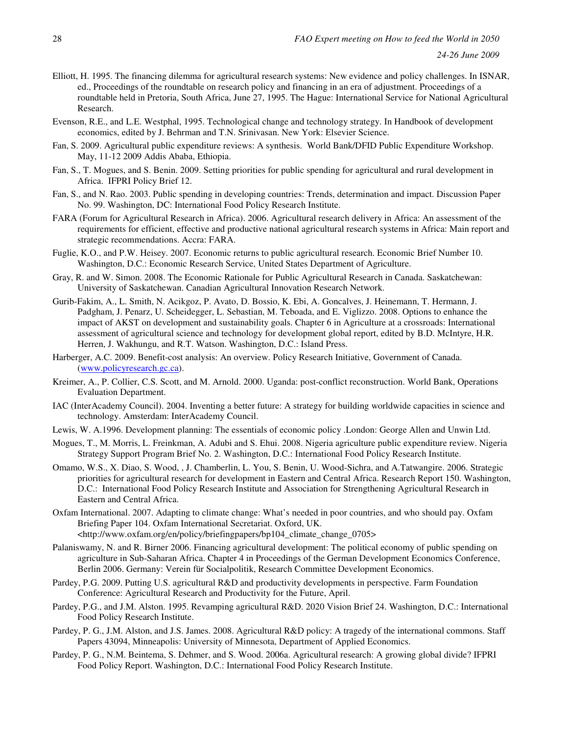- Elliott, H. 1995. The financing dilemma for agricultural research systems: New evidence and policy challenges. In ISNAR, ed., Proceedings of the roundtable on research policy and financing in an era of adjustment. Proceedings of a roundtable held in Pretoria, South Africa, June 27, 1995. The Hague: International Service for National Agricultural Research.
- Evenson, R.E., and L.E. Westphal, 1995. Technological change and technology strategy. In Handbook of development economics, edited by J. Behrman and T.N. Srinivasan. New York: Elsevier Science.
- Fan, S. 2009. Agricultural public expenditure reviews: A synthesis. World Bank/DFID Public Expenditure Workshop. May, 11-12 2009 Addis Ababa, Ethiopia.
- Fan, S., T. Mogues, and S. Benin. 2009. Setting priorities for public spending for agricultural and rural development in Africa. IFPRI Policy Brief 12.
- Fan, S., and N. Rao. 2003. Public spending in developing countries: Trends, determination and impact. Discussion Paper No. 99. Washington, DC: International Food Policy Research Institute.
- FARA (Forum for Agricultural Research in Africa). 2006. Agricultural research delivery in Africa: An assessment of the requirements for efficient, effective and productive national agricultural research systems in Africa: Main report and strategic recommendations. Accra: FARA.
- Fuglie, K.O., and P.W. Heisey. 2007. Economic returns to public agricultural research. Economic Brief Number 10. Washington, D.C.: Economic Research Service, United States Department of Agriculture.
- Gray, R. and W. Simon. 2008. The Economic Rationale for Public Agricultural Research in Canada. Saskatchewan: University of Saskatchewan. Canadian Agricultural Innovation Research Network.
- Gurib-Fakim, A., L. Smith, N. Acikgoz, P. Avato, D. Bossio, K. Ebi, A. Goncalves, J. Heinemann, T. Hermann, J. Padgham, J. Penarz, U. Scheidegger, L. Sebastian, M. Teboada, and E. Viglizzo. 2008. Options to enhance the impact of AKST on development and sustainability goals. Chapter 6 in Agriculture at a crossroads: International assessment of agricultural science and technology for development global report, edited by B.D. McIntyre, H.R. Herren, J. Wakhungu, and R.T. Watson. Washington, D.C.: Island Press.
- Harberger, A.C. 2009. Benefit-cost analysis: An overview. Policy Research Initiative, Government of Canada. (www.policyresearch.gc.ca).
- Kreimer, A., P. Collier, C.S. Scott, and M. Arnold. 2000. Uganda: post-conflict reconstruction. World Bank, Operations Evaluation Department.
- IAC (InterAcademy Council). 2004. Inventing a better future: A strategy for building worldwide capacities in science and technology. Amsterdam: InterAcademy Council.
- Lewis, W. A.1996. Development planning: The essentials of economic policy .London: George Allen and Unwin Ltd.
- Mogues, T., M. Morris, L. Freinkman, A. Adubi and S. Ehui. 2008. Nigeria agriculture public expenditure review. Nigeria Strategy Support Program Brief No. 2. Washington, D.C.: International Food Policy Research Institute.
- Omamo, W.S., X. Diao, S. Wood, , J. Chamberlin, L. You, S. Benin, U. Wood-Sichra, and A.Tatwangire. 2006. Strategic priorities for agricultural research for development in Eastern and Central Africa. Research Report 150. Washington, D.C.: International Food Policy Research Institute and Association for Strengthening Agricultural Research in Eastern and Central Africa.
- Oxfam International. 2007. Adapting to climate change: What's needed in poor countries, and who should pay. Oxfam Briefing Paper 104. Oxfam International Secretariat. Oxford, UK. <http://www.oxfam.org/en/policy/briefingpapers/bp104\_climate\_change\_0705>
- Palaniswamy, N. and R. Birner 2006. Financing agricultural development: The political economy of public spending on agriculture in Sub-Saharan Africa. Chapter 4 in Proceedings of the German Development Economics Conference, Berlin 2006. Germany: Verein für Socialpolitik, Research Committee Development Economics.
- Pardey, P.G. 2009. Putting U.S. agricultural R&D and productivity developments in perspective. Farm Foundation Conference: Agricultural Research and Productivity for the Future, April.
- Pardey, P.G., and J.M. Alston. 1995. Revamping agricultural R&D. 2020 Vision Brief 24. Washington, D.C.: International Food Policy Research Institute.
- Pardey, P. G., J.M. Alston, and J.S. James. 2008. Agricultural R&D policy: A tragedy of the international commons. Staff Papers 43094, Minneapolis: University of Minnesota, Department of Applied Economics.
- Pardey, P. G., N.M. Beintema, S. Dehmer, and S. Wood. 2006a. Agricultural research: A growing global divide? IFPRI Food Policy Report. Washington, D.C.: International Food Policy Research Institute.